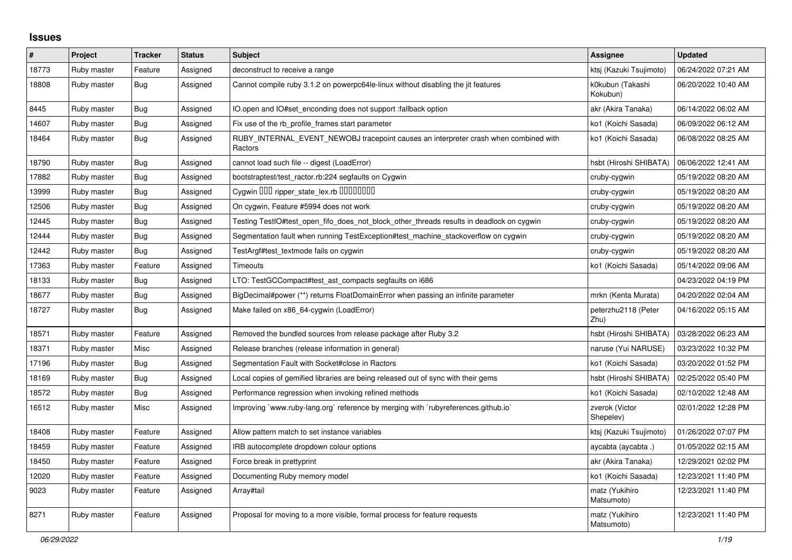## **Issues**

| $\pmb{\#}$ | Project     | <b>Tracker</b> | <b>Status</b> | <b>Subject</b>                                                                                  | Assignee                     | <b>Updated</b>      |
|------------|-------------|----------------|---------------|-------------------------------------------------------------------------------------------------|------------------------------|---------------------|
| 18773      | Ruby master | Feature        | Assigned      | deconstruct to receive a range                                                                  | ktsj (Kazuki Tsujimoto)      | 06/24/2022 07:21 AM |
| 18808      | Ruby master | Bug            | Assigned      | Cannot compile ruby 3.1.2 on powerpc64le-linux without disabling the jit features               | k0kubun (Takashi<br>Kokubun) | 06/20/2022 10:40 AM |
| 8445       | Ruby master | Bug            | Assigned      | IO.open and IO#set_enconding does not support :fallback option                                  | akr (Akira Tanaka)           | 06/14/2022 06:02 AM |
| 14607      | Ruby master | <b>Bug</b>     | Assigned      | Fix use of the rb profile frames start parameter                                                | ko1 (Koichi Sasada)          | 06/09/2022 06:12 AM |
| 18464      | Ruby master | <b>Bug</b>     | Assigned      | RUBY INTERNAL EVENT NEWOBJ tracepoint causes an interpreter crash when combined with<br>Ractors | ko1 (Koichi Sasada)          | 06/08/2022 08:25 AM |
| 18790      | Ruby master | <b>Bug</b>     | Assigned      | cannot load such file -- digest (LoadError)                                                     | hsbt (Hiroshi SHIBATA)       | 06/06/2022 12:41 AM |
| 17882      | Ruby master | Bug            | Assigned      | bootstraptest/test_ractor.rb:224 segfaults on Cygwin                                            | cruby-cygwin                 | 05/19/2022 08:20 AM |
| 13999      | Ruby master | <b>Bug</b>     | Assigned      | Cygwin 000 ripper_state_lex.rb 0000000                                                          | cruby-cygwin                 | 05/19/2022 08:20 AM |
| 12506      | Ruby master | <b>Bug</b>     | Assigned      | On cygwin, Feature #5994 does not work                                                          | cruby-cygwin                 | 05/19/2022 08:20 AM |
| 12445      | Ruby master | <b>Bug</b>     | Assigned      | Testing TestlO#test_open_fifo_does_not_block_other_threads results in deadlock on cygwin        | cruby-cygwin                 | 05/19/2022 08:20 AM |
| 12444      | Ruby master | <b>Bug</b>     | Assigned      | Segmentation fault when running TestException#test_machine_stackoverflow on cygwin              | cruby-cygwin                 | 05/19/2022 08:20 AM |
| 12442      | Ruby master | Bug            | Assigned      | TestArgf#test textmode fails on cygwin                                                          | cruby-cygwin                 | 05/19/2022 08:20 AM |
| 17363      | Ruby master | Feature        | Assigned      | Timeouts                                                                                        | ko1 (Koichi Sasada)          | 05/14/2022 09:06 AM |
| 18133      | Ruby master | <b>Bug</b>     | Assigned      | LTO: TestGCCompact#test_ast_compacts segfaults on i686                                          |                              | 04/23/2022 04:19 PM |
| 18677      | Ruby master | <b>Bug</b>     | Assigned      | BigDecimal#power (**) returns FloatDomainError when passing an infinite parameter               | mrkn (Kenta Murata)          | 04/20/2022 02:04 AM |
| 18727      | Ruby master | Bug            | Assigned      | Make failed on x86_64-cygwin (LoadError)                                                        | peterzhu2118 (Peter<br>Zhu)  | 04/16/2022 05:15 AM |
| 18571      | Ruby master | Feature        | Assigned      | Removed the bundled sources from release package after Ruby 3.2                                 | hsbt (Hiroshi SHIBATA)       | 03/28/2022 06:23 AM |
| 18371      | Ruby master | Misc           | Assigned      | Release branches (release information in general)                                               | naruse (Yui NARUSE)          | 03/23/2022 10:32 PM |
| 17196      | Ruby master | Bug            | Assigned      | Segmentation Fault with Socket#close in Ractors                                                 | ko1 (Koichi Sasada)          | 03/20/2022 01:52 PM |
| 18169      | Ruby master | <b>Bug</b>     | Assigned      | Local copies of gemified libraries are being released out of sync with their gems               | hsbt (Hiroshi SHIBATA)       | 02/25/2022 05:40 PM |
| 18572      | Ruby master | Bug            | Assigned      | Performance regression when invoking refined methods                                            | ko1 (Koichi Sasada)          | 02/10/2022 12:48 AM |
| 16512      | Ruby master | Misc           | Assigned      | Improving `www.ruby-lang.org` reference by merging with `rubyreferences.github.io`              | zverok (Victor<br>Shepelev)  | 02/01/2022 12:28 PM |
| 18408      | Ruby master | Feature        | Assigned      | Allow pattern match to set instance variables                                                   | ktsj (Kazuki Tsujimoto)      | 01/26/2022 07:07 PM |
| 18459      | Ruby master | Feature        | Assigned      | IRB autocomplete dropdown colour options                                                        | aycabta (aycabta.)           | 01/05/2022 02:15 AM |
| 18450      | Ruby master | Feature        | Assigned      | Force break in prettyprint                                                                      | akr (Akira Tanaka)           | 12/29/2021 02:02 PM |
| 12020      | Ruby master | Feature        | Assigned      | Documenting Ruby memory model                                                                   | ko1 (Koichi Sasada)          | 12/23/2021 11:40 PM |
| 9023       | Ruby master | Feature        | Assigned      | Array#tail                                                                                      | matz (Yukihiro<br>Matsumoto) | 12/23/2021 11:40 PM |
| 8271       | Ruby master | Feature        | Assigned      | Proposal for moving to a more visible, formal process for feature requests                      | matz (Yukihiro<br>Matsumoto) | 12/23/2021 11:40 PM |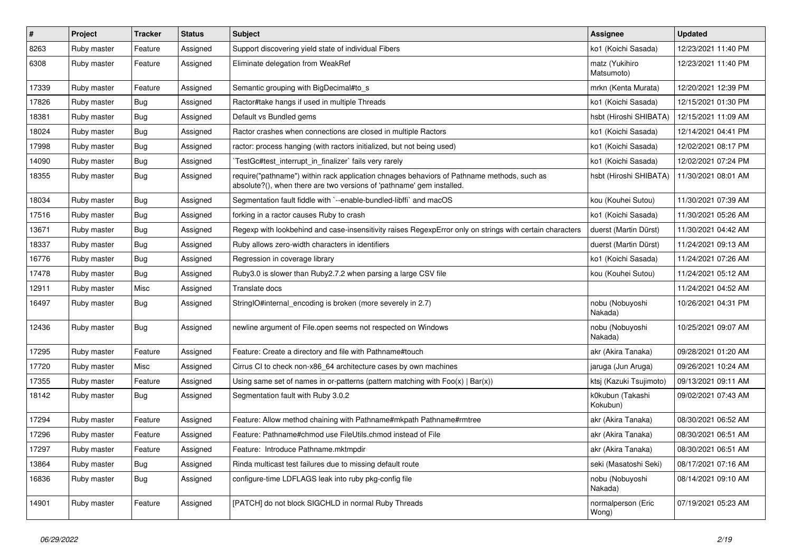| $\pmb{\#}$ | Project     | <b>Tracker</b> | <b>Status</b> | <b>Subject</b>                                                                                                                                                      | Assignee                     | <b>Updated</b>      |
|------------|-------------|----------------|---------------|---------------------------------------------------------------------------------------------------------------------------------------------------------------------|------------------------------|---------------------|
| 8263       | Ruby master | Feature        | Assigned      | Support discovering yield state of individual Fibers                                                                                                                | ko1 (Koichi Sasada)          | 12/23/2021 11:40 PM |
| 6308       | Ruby master | Feature        | Assigned      | Eliminate delegation from WeakRef                                                                                                                                   | matz (Yukihiro<br>Matsumoto) | 12/23/2021 11:40 PM |
| 17339      | Ruby master | Feature        | Assigned      | Semantic grouping with BigDecimal#to s                                                                                                                              | mrkn (Kenta Murata)          | 12/20/2021 12:39 PM |
| 17826      | Ruby master | Bug            | Assigned      | Ractor#take hangs if used in multiple Threads                                                                                                                       | ko1 (Koichi Sasada)          | 12/15/2021 01:30 PM |
| 18381      | Ruby master | <b>Bug</b>     | Assigned      | Default vs Bundled gems                                                                                                                                             | hsbt (Hiroshi SHIBATA)       | 12/15/2021 11:09 AM |
| 18024      | Ruby master | Bug            | Assigned      | Ractor crashes when connections are closed in multiple Ractors                                                                                                      | ko1 (Koichi Sasada)          | 12/14/2021 04:41 PM |
| 17998      | Ruby master | Bug            | Assigned      | ractor: process hanging (with ractors initialized, but not being used)                                                                                              | ko1 (Koichi Sasada)          | 12/02/2021 08:17 PM |
| 14090      | Ruby master | Bug            | Assigned      | TestGc#test_interrupt_in_finalizer` fails very rarely                                                                                                               | ko1 (Koichi Sasada)          | 12/02/2021 07:24 PM |
| 18355      | Ruby master | Bug            | Assigned      | require("pathname") within rack application chnages behaviors of Pathname methods, such as<br>absolute?(), when there are two versions of 'pathname' gem installed. | hsbt (Hiroshi SHIBATA)       | 11/30/2021 08:01 AM |
| 18034      | Ruby master | <b>Bug</b>     | Assigned      | Segmentation fault fiddle with `--enable-bundled-libffi` and macOS                                                                                                  | kou (Kouhei Sutou)           | 11/30/2021 07:39 AM |
| 17516      | Ruby master | <b>Bug</b>     | Assigned      | forking in a ractor causes Ruby to crash                                                                                                                            | ko1 (Koichi Sasada)          | 11/30/2021 05:26 AM |
| 13671      | Ruby master | <b>Bug</b>     | Assigned      | Regexp with lookbehind and case-insensitivity raises RegexpError only on strings with certain characters                                                            | duerst (Martin Dürst)        | 11/30/2021 04:42 AM |
| 18337      | Ruby master | <b>Bug</b>     | Assigned      | Ruby allows zero-width characters in identifiers                                                                                                                    | duerst (Martin Dürst)        | 11/24/2021 09:13 AM |
| 16776      | Ruby master | <b>Bug</b>     | Assigned      | Regression in coverage library                                                                                                                                      | ko1 (Koichi Sasada)          | 11/24/2021 07:26 AM |
| 17478      | Ruby master | <b>Bug</b>     | Assigned      | Ruby3.0 is slower than Ruby2.7.2 when parsing a large CSV file                                                                                                      | kou (Kouhei Sutou)           | 11/24/2021 05:12 AM |
| 12911      | Ruby master | Misc           | Assigned      | Translate docs                                                                                                                                                      |                              | 11/24/2021 04:52 AM |
| 16497      | Ruby master | <b>Bug</b>     | Assigned      | StringIO#internal_encoding is broken (more severely in 2.7)                                                                                                         | nobu (Nobuyoshi<br>Nakada)   | 10/26/2021 04:31 PM |
| 12436      | Ruby master | <b>Bug</b>     | Assigned      | newline argument of File.open seems not respected on Windows                                                                                                        | nobu (Nobuyoshi<br>Nakada)   | 10/25/2021 09:07 AM |
| 17295      | Ruby master | Feature        | Assigned      | Feature: Create a directory and file with Pathname#touch                                                                                                            | akr (Akira Tanaka)           | 09/28/2021 01:20 AM |
| 17720      | Ruby master | Misc           | Assigned      | Cirrus CI to check non-x86_64 architecture cases by own machines                                                                                                    | jaruga (Jun Aruga)           | 09/26/2021 10:24 AM |
| 17355      | Ruby master | Feature        | Assigned      | Using same set of names in or-patterns (pattern matching with $Foo(x)   Bar(x)$ )                                                                                   | ktsi (Kazuki Tsujimoto)      | 09/13/2021 09:11 AM |
| 18142      | Ruby master | <b>Bug</b>     | Assigned      | Segmentation fault with Ruby 3.0.2                                                                                                                                  | k0kubun (Takashi<br>Kokubun) | 09/02/2021 07:43 AM |
| 17294      | Ruby master | Feature        | Assigned      | Feature: Allow method chaining with Pathname#mkpath Pathname#rmtree                                                                                                 | akr (Akira Tanaka)           | 08/30/2021 06:52 AM |
| 17296      | Ruby master | Feature        | Assigned      | Feature: Pathname#chmod use FileUtils.chmod instead of File                                                                                                         | akr (Akira Tanaka)           | 08/30/2021 06:51 AM |
| 17297      | Ruby master | Feature        | Assigned      | Feature: Introduce Pathname.mktmpdir                                                                                                                                | akr (Akira Tanaka)           | 08/30/2021 06:51 AM |
| 13864      | Ruby master | <b>Bug</b>     | Assigned      | Rinda multicast test failures due to missing default route                                                                                                          | seki (Masatoshi Seki)        | 08/17/2021 07:16 AM |
| 16836      | Ruby master | <b>Bug</b>     | Assigned      | configure-time LDFLAGS leak into ruby pkg-config file                                                                                                               | nobu (Nobuyoshi<br>Nakada)   | 08/14/2021 09:10 AM |
| 14901      | Ruby master | Feature        | Assigned      | [PATCH] do not block SIGCHLD in normal Ruby Threads                                                                                                                 | normalperson (Eric<br>Wong)  | 07/19/2021 05:23 AM |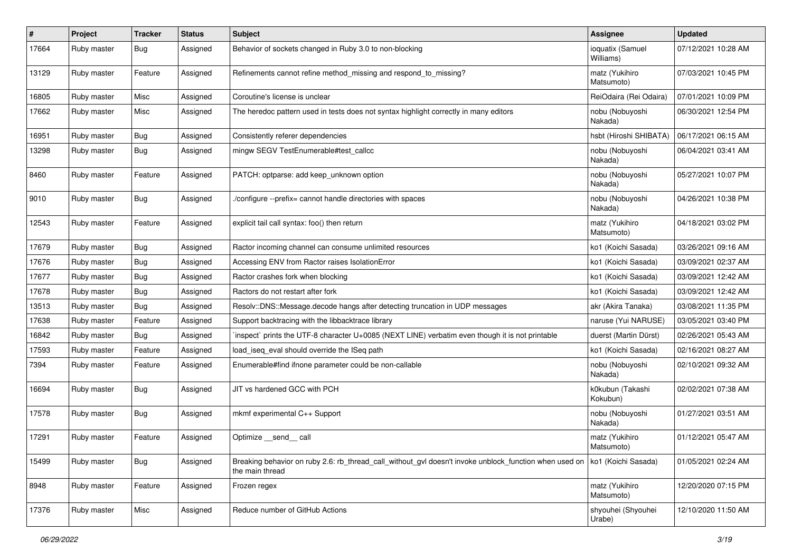| #     | Project     | <b>Tracker</b> | <b>Status</b> | <b>Subject</b>                                                                                                            | <b>Assignee</b>               | <b>Updated</b>      |
|-------|-------------|----------------|---------------|---------------------------------------------------------------------------------------------------------------------------|-------------------------------|---------------------|
| 17664 | Ruby master | Bug            | Assigned      | Behavior of sockets changed in Ruby 3.0 to non-blocking                                                                   | ioquatix (Samuel<br>Williams) | 07/12/2021 10:28 AM |
| 13129 | Ruby master | Feature        | Assigned      | Refinements cannot refine method_missing and respond_to_missing?                                                          | matz (Yukihiro<br>Matsumoto)  | 07/03/2021 10:45 PM |
| 16805 | Ruby master | Misc           | Assigned      | Coroutine's license is unclear                                                                                            | ReiOdaira (Rei Odaira)        | 07/01/2021 10:09 PM |
| 17662 | Ruby master | Misc           | Assigned      | The heredoc pattern used in tests does not syntax highlight correctly in many editors                                     | nobu (Nobuyoshi<br>Nakada)    | 06/30/2021 12:54 PM |
| 16951 | Ruby master | Bug            | Assigned      | Consistently referer dependencies                                                                                         | hsbt (Hiroshi SHIBATA)        | 06/17/2021 06:15 AM |
| 13298 | Ruby master | Bug            | Assigned      | mingw SEGV TestEnumerable#test_callcc                                                                                     | nobu (Nobuyoshi<br>Nakada)    | 06/04/2021 03:41 AM |
| 8460  | Ruby master | Feature        | Assigned      | PATCH: optparse: add keep unknown option                                                                                  | nobu (Nobuyoshi<br>Nakada)    | 05/27/2021 10:07 PM |
| 9010  | Ruby master | Bug            | Assigned      | ./configure --prefix= cannot handle directories with spaces                                                               | nobu (Nobuyoshi<br>Nakada)    | 04/26/2021 10:38 PM |
| 12543 | Ruby master | Feature        | Assigned      | explicit tail call syntax: foo() then return                                                                              | matz (Yukihiro<br>Matsumoto)  | 04/18/2021 03:02 PM |
| 17679 | Ruby master | <b>Bug</b>     | Assigned      | Ractor incoming channel can consume unlimited resources                                                                   | ko1 (Koichi Sasada)           | 03/26/2021 09:16 AM |
| 17676 | Ruby master | Bug            | Assigned      | Accessing ENV from Ractor raises IsolationError                                                                           | ko1 (Koichi Sasada)           | 03/09/2021 02:37 AM |
| 17677 | Ruby master | Bug            | Assigned      | Ractor crashes fork when blocking                                                                                         | ko1 (Koichi Sasada)           | 03/09/2021 12:42 AM |
| 17678 | Ruby master | Bug            | Assigned      | Ractors do not restart after fork                                                                                         | ko1 (Koichi Sasada)           | 03/09/2021 12:42 AM |
| 13513 | Ruby master | Bug            | Assigned      | Resolv::DNS::Message.decode hangs after detecting truncation in UDP messages                                              | akr (Akira Tanaka)            | 03/08/2021 11:35 PM |
| 17638 | Ruby master | Feature        | Assigned      | Support backtracing with the libbacktrace library                                                                         | naruse (Yui NARUSE)           | 03/05/2021 03:40 PM |
| 16842 | Ruby master | Bug            | Assigned      | inspect` prints the UTF-8 character U+0085 (NEXT LINE) verbatim even though it is not printable                           | duerst (Martin Dürst)         | 02/26/2021 05:43 AM |
| 17593 | Ruby master | Feature        | Assigned      | load iseg eval should override the ISeg path                                                                              | ko1 (Koichi Sasada)           | 02/16/2021 08:27 AM |
| 7394  | Ruby master | Feature        | Assigned      | Enumerable#find ifnone parameter could be non-callable                                                                    | nobu (Nobuyoshi<br>Nakada)    | 02/10/2021 09:32 AM |
| 16694 | Ruby master | Bug            | Assigned      | JIT vs hardened GCC with PCH                                                                                              | k0kubun (Takashi<br>Kokubun)  | 02/02/2021 07:38 AM |
| 17578 | Ruby master | Bug            | Assigned      | mkmf experimental C++ Support                                                                                             | nobu (Nobuyoshi<br>Nakada)    | 01/27/2021 03:51 AM |
| 17291 | Ruby master | Feature        | Assigned      | Optimize __send__ call                                                                                                    | matz (Yukihiro<br>Matsumoto)  | 01/12/2021 05:47 AM |
| 15499 | Ruby master | Bug            | Assigned      | Breaking behavior on ruby 2.6: rb thread call without gvl doesn't invoke unblock function when used on<br>the main thread | ko1 (Koichi Sasada)           | 01/05/2021 02:24 AM |
| 8948  | Ruby master | Feature        | Assigned      | Frozen regex                                                                                                              | matz (Yukihiro<br>Matsumoto)  | 12/20/2020 07:15 PM |
| 17376 | Ruby master | Misc           | Assigned      | Reduce number of GitHub Actions                                                                                           | shyouhei (Shyouhei<br>Urabe)  | 12/10/2020 11:50 AM |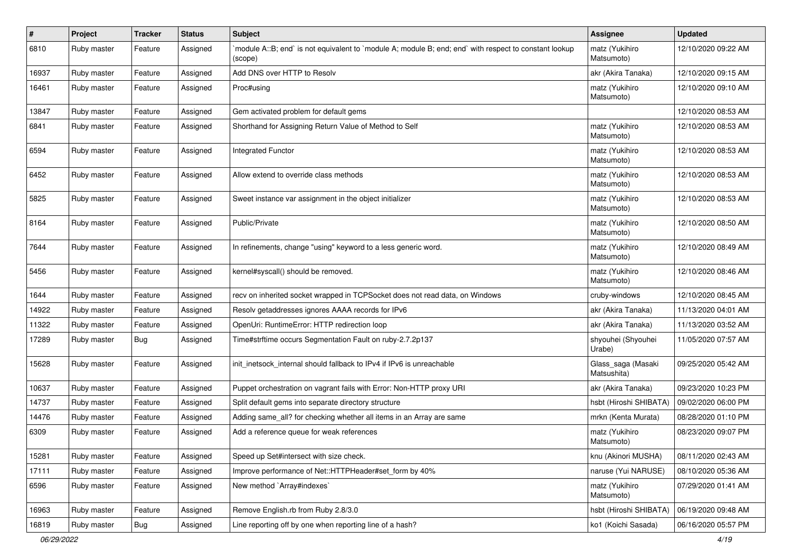| $\vert$ # | Project     | <b>Tracker</b> | <b>Status</b> | <b>Subject</b>                                                                                                    | <b>Assignee</b>                   | <b>Updated</b>      |
|-----------|-------------|----------------|---------------|-------------------------------------------------------------------------------------------------------------------|-----------------------------------|---------------------|
| 6810      | Ruby master | Feature        | Assigned      | module A::B; end` is not equivalent to `module A; module B; end; end` with respect to constant lookup`<br>(scope) | matz (Yukihiro<br>Matsumoto)      | 12/10/2020 09:22 AM |
| 16937     | Ruby master | Feature        | Assigned      | Add DNS over HTTP to Resolv                                                                                       | akr (Akira Tanaka)                | 12/10/2020 09:15 AM |
| 16461     | Ruby master | Feature        | Assigned      | Proc#using                                                                                                        | matz (Yukihiro<br>Matsumoto)      | 12/10/2020 09:10 AM |
| 13847     | Ruby master | Feature        | Assigned      | Gem activated problem for default gems                                                                            |                                   | 12/10/2020 08:53 AM |
| 6841      | Ruby master | Feature        | Assigned      | Shorthand for Assigning Return Value of Method to Self                                                            | matz (Yukihiro<br>Matsumoto)      | 12/10/2020 08:53 AM |
| 6594      | Ruby master | Feature        | Assigned      | Integrated Functor                                                                                                | matz (Yukihiro<br>Matsumoto)      | 12/10/2020 08:53 AM |
| 6452      | Ruby master | Feature        | Assigned      | Allow extend to override class methods                                                                            | matz (Yukihiro<br>Matsumoto)      | 12/10/2020 08:53 AM |
| 5825      | Ruby master | Feature        | Assigned      | Sweet instance var assignment in the object initializer                                                           | matz (Yukihiro<br>Matsumoto)      | 12/10/2020 08:53 AM |
| 8164      | Ruby master | Feature        | Assigned      | Public/Private                                                                                                    | matz (Yukihiro<br>Matsumoto)      | 12/10/2020 08:50 AM |
| 7644      | Ruby master | Feature        | Assigned      | In refinements, change "using" keyword to a less generic word.                                                    | matz (Yukihiro<br>Matsumoto)      | 12/10/2020 08:49 AM |
| 5456      | Ruby master | Feature        | Assigned      | kernel#syscall() should be removed.                                                                               | matz (Yukihiro<br>Matsumoto)      | 12/10/2020 08:46 AM |
| 1644      | Ruby master | Feature        | Assigned      | recv on inherited socket wrapped in TCPSocket does not read data, on Windows                                      | cruby-windows                     | 12/10/2020 08:45 AM |
| 14922     | Ruby master | Feature        | Assigned      | Resolv getaddresses ignores AAAA records for IPv6                                                                 | akr (Akira Tanaka)                | 11/13/2020 04:01 AM |
| 11322     | Ruby master | Feature        | Assigned      | OpenUri: RuntimeError: HTTP redirection loop                                                                      | akr (Akira Tanaka)                | 11/13/2020 03:52 AM |
| 17289     | Ruby master | <b>Bug</b>     | Assigned      | Time#strftime occurs Segmentation Fault on ruby-2.7.2p137                                                         | shyouhei (Shyouhei<br>Urabe)      | 11/05/2020 07:57 AM |
| 15628     | Ruby master | Feature        | Assigned      | init_inetsock_internal should fallback to IPv4 if IPv6 is unreachable                                             | Glass_saga (Masaki<br>Matsushita) | 09/25/2020 05:42 AM |
| 10637     | Ruby master | Feature        | Assigned      | Puppet orchestration on vagrant fails with Error: Non-HTTP proxy URI                                              | akr (Akira Tanaka)                | 09/23/2020 10:23 PM |
| 14737     | Ruby master | Feature        | Assigned      | Split default gems into separate directory structure                                                              | hsbt (Hiroshi SHIBATA)            | 09/02/2020 06:00 PM |
| 14476     | Ruby master | Feature        | Assigned      | Adding same_all? for checking whether all items in an Array are same                                              | mrkn (Kenta Murata)               | 08/28/2020 01:10 PM |
| 6309      | Ruby master | Feature        | Assigned      | Add a reference queue for weak references                                                                         | matz (Yukihiro<br>Matsumoto)      | 08/23/2020 09:07 PM |
| 15281     | Ruby master | Feature        | Assigned      | Speed up Set#intersect with size check.                                                                           | knu (Akinori MUSHA)               | 08/11/2020 02:43 AM |
| 17111     | Ruby master | Feature        | Assigned      | Improve performance of Net::HTTPHeader#set_form by 40%                                                            | naruse (Yui NARUSE)               | 08/10/2020 05:36 AM |
| 6596      | Ruby master | Feature        | Assigned      | New method `Array#indexes`                                                                                        | matz (Yukihiro<br>Matsumoto)      | 07/29/2020 01:41 AM |
| 16963     | Ruby master | Feature        | Assigned      | Remove English.rb from Ruby 2.8/3.0                                                                               | hsbt (Hiroshi SHIBATA)            | 06/19/2020 09:48 AM |
| 16819     | Ruby master | <b>Bug</b>     | Assigned      | Line reporting off by one when reporting line of a hash?                                                          | ko1 (Koichi Sasada)               | 06/16/2020 05:57 PM |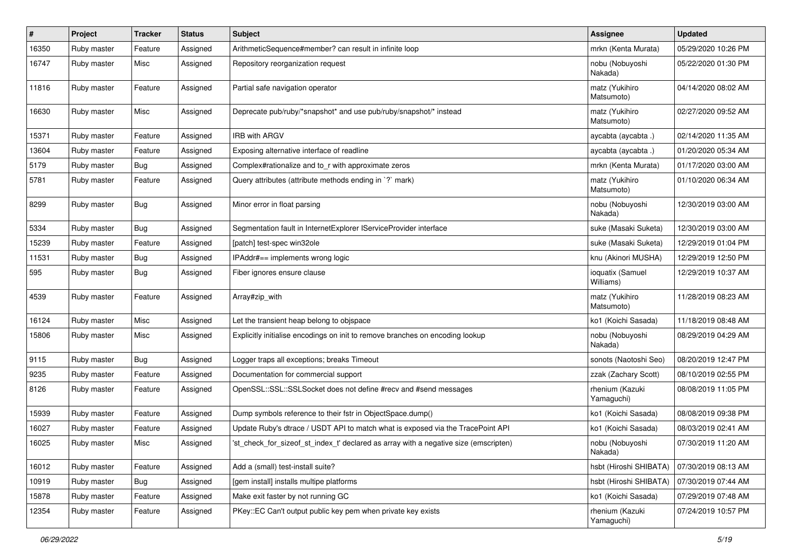| $\pmb{\#}$ | Project     | <b>Tracker</b> | <b>Status</b> | <b>Subject</b>                                                                       | Assignee                      | <b>Updated</b>      |
|------------|-------------|----------------|---------------|--------------------------------------------------------------------------------------|-------------------------------|---------------------|
| 16350      | Ruby master | Feature        | Assigned      | ArithmeticSequence#member? can result in infinite loop                               | mrkn (Kenta Murata)           | 05/29/2020 10:26 PM |
| 16747      | Ruby master | Misc           | Assigned      | Repository reorganization request                                                    | nobu (Nobuyoshi<br>Nakada)    | 05/22/2020 01:30 PM |
| 11816      | Ruby master | Feature        | Assigned      | Partial safe navigation operator                                                     | matz (Yukihiro<br>Matsumoto)  | 04/14/2020 08:02 AM |
| 16630      | Ruby master | Misc           | Assigned      | Deprecate pub/ruby/*snapshot* and use pub/ruby/snapshot/* instead                    | matz (Yukihiro<br>Matsumoto)  | 02/27/2020 09:52 AM |
| 15371      | Ruby master | Feature        | Assigned      | <b>IRB with ARGV</b>                                                                 | aycabta (aycabta.)            | 02/14/2020 11:35 AM |
| 13604      | Ruby master | Feature        | Assigned      | Exposing alternative interface of readline                                           | aycabta (aycabta .)           | 01/20/2020 05:34 AM |
| 5179       | Ruby master | Bug            | Assigned      | Complex#rationalize and to_r with approximate zeros                                  | mrkn (Kenta Murata)           | 01/17/2020 03:00 AM |
| 5781       | Ruby master | Feature        | Assigned      | Query attributes (attribute methods ending in `?` mark)                              | matz (Yukihiro<br>Matsumoto)  | 01/10/2020 06:34 AM |
| 8299       | Ruby master | Bug            | Assigned      | Minor error in float parsing                                                         | nobu (Nobuyoshi<br>Nakada)    | 12/30/2019 03:00 AM |
| 5334       | Ruby master | <b>Bug</b>     | Assigned      | Segmentation fault in InternetExplorer IServiceProvider interface                    | suke (Masaki Suketa)          | 12/30/2019 03:00 AM |
| 15239      | Ruby master | Feature        | Assigned      | [patch] test-spec win32ole                                                           | suke (Masaki Suketa)          | 12/29/2019 01:04 PM |
| 11531      | Ruby master | <b>Bug</b>     | Assigned      | IPAddr#== implements wrong logic                                                     | knu (Akinori MUSHA)           | 12/29/2019 12:50 PM |
| 595        | Ruby master | <b>Bug</b>     | Assigned      | Fiber ignores ensure clause                                                          | ioquatix (Samuel<br>Williams) | 12/29/2019 10:37 AM |
| 4539       | Ruby master | Feature        | Assigned      | Array#zip_with                                                                       | matz (Yukihiro<br>Matsumoto)  | 11/28/2019 08:23 AM |
| 16124      | Ruby master | Misc           | Assigned      | Let the transient heap belong to objspace                                            | ko1 (Koichi Sasada)           | 11/18/2019 08:48 AM |
| 15806      | Ruby master | Misc           | Assigned      | Explicitly initialise encodings on init to remove branches on encoding lookup        | nobu (Nobuyoshi<br>Nakada)    | 08/29/2019 04:29 AM |
| 9115       | Ruby master | <b>Bug</b>     | Assigned      | Logger traps all exceptions; breaks Timeout                                          | sonots (Naotoshi Seo)         | 08/20/2019 12:47 PM |
| 9235       | Ruby master | Feature        | Assigned      | Documentation for commercial support                                                 | zzak (Zachary Scott)          | 08/10/2019 02:55 PM |
| 8126       | Ruby master | Feature        | Assigned      | OpenSSL::SSL::SSLSocket does not define #recv and #send messages                     | rhenium (Kazuki<br>Yamaguchi) | 08/08/2019 11:05 PM |
| 15939      | Ruby master | Feature        | Assigned      | Dump symbols reference to their fstr in ObjectSpace.dump()                           | ko1 (Koichi Sasada)           | 08/08/2019 09:38 PM |
| 16027      | Ruby master | Feature        | Assigned      | Update Ruby's dtrace / USDT API to match what is exposed via the TracePoint API      | ko1 (Koichi Sasada)           | 08/03/2019 02:41 AM |
| 16025      | Ruby master | Misc           | Assigned      | 'st_check_for_sizeof_st_index_t' declared as array with a negative size (emscripten) | nobu (Nobuyoshi<br>Nakada)    | 07/30/2019 11:20 AM |
| 16012      | Ruby master | Feature        | Assigned      | Add a (small) test-install suite?                                                    | hsbt (Hiroshi SHIBATA)        | 07/30/2019 08:13 AM |
| 10919      | Ruby master | Bug            | Assigned      | [gem install] installs multipe platforms                                             | hsbt (Hiroshi SHIBATA)        | 07/30/2019 07:44 AM |
| 15878      | Ruby master | Feature        | Assigned      | Make exit faster by not running GC                                                   | ko1 (Koichi Sasada)           | 07/29/2019 07:48 AM |
| 12354      | Ruby master | Feature        | Assigned      | PKey::EC Can't output public key pem when private key exists                         | rhenium (Kazuki<br>Yamaguchi) | 07/24/2019 10:57 PM |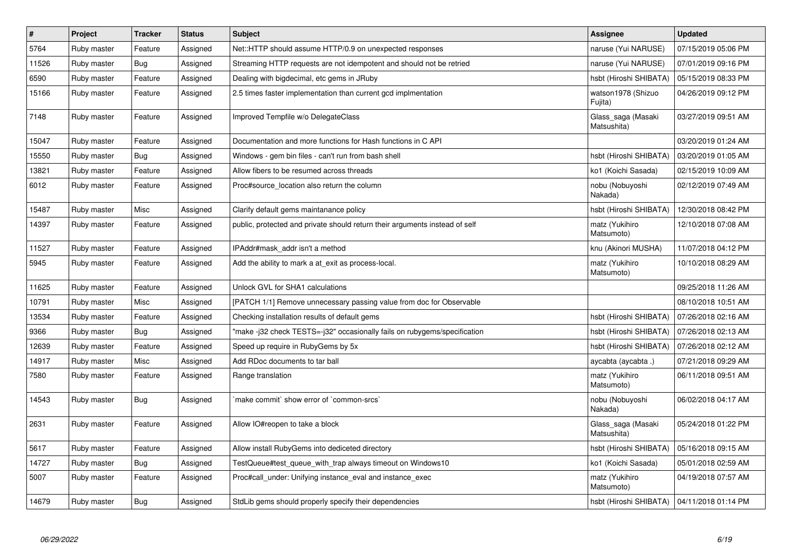| $\sharp$ | <b>Project</b> | <b>Tracker</b> | <b>Status</b> | <b>Subject</b>                                                              | Assignee                                     | <b>Updated</b>      |
|----------|----------------|----------------|---------------|-----------------------------------------------------------------------------|----------------------------------------------|---------------------|
| 5764     | Ruby master    | Feature        | Assigned      | Net::HTTP should assume HTTP/0.9 on unexpected responses                    | naruse (Yui NARUSE)                          | 07/15/2019 05:06 PM |
| 11526    | Ruby master    | <b>Bug</b>     | Assigned      | Streaming HTTP requests are not idempotent and should not be retried        | naruse (Yui NARUSE)                          | 07/01/2019 09:16 PM |
| 6590     | Ruby master    | Feature        | Assigned      | Dealing with bigdecimal, etc gems in JRuby                                  | hsbt (Hiroshi SHIBATA)                       | 05/15/2019 08:33 PM |
| 15166    | Ruby master    | Feature        | Assigned      | 2.5 times faster implementation than current gcd implmentation              | watson1978 (Shizuo<br>Fujita)                | 04/26/2019 09:12 PM |
| 7148     | Ruby master    | Feature        | Assigned      | Improved Tempfile w/o DelegateClass                                         | Glass_saga (Masaki<br>Matsushita)            | 03/27/2019 09:51 AM |
| 15047    | Ruby master    | Feature        | Assigned      | Documentation and more functions for Hash functions in C API                |                                              | 03/20/2019 01:24 AM |
| 15550    | Ruby master    | <b>Bug</b>     | Assigned      | Windows - gem bin files - can't run from bash shell                         | hsbt (Hiroshi SHIBATA)                       | 03/20/2019 01:05 AM |
| 13821    | Ruby master    | Feature        | Assigned      | Allow fibers to be resumed across threads                                   | ko1 (Koichi Sasada)                          | 02/15/2019 10:09 AM |
| 6012     | Ruby master    | Feature        | Assigned      | Proc#source_location also return the column                                 | nobu (Nobuyoshi<br>Nakada)                   | 02/12/2019 07:49 AM |
| 15487    | Ruby master    | Misc           | Assigned      | Clarify default gems maintanance policy                                     | hsbt (Hiroshi SHIBATA)                       | 12/30/2018 08:42 PM |
| 14397    | Ruby master    | Feature        | Assigned      | public, protected and private should return their arguments instead of self | matz (Yukihiro<br>Matsumoto)                 | 12/10/2018 07:08 AM |
| 11527    | Ruby master    | Feature        | Assigned      | IPAddr#mask addr isn't a method                                             | knu (Akinori MUSHA)                          | 11/07/2018 04:12 PM |
| 5945     | Ruby master    | Feature        | Assigned      | Add the ability to mark a at exit as process-local.                         | matz (Yukihiro<br>Matsumoto)                 | 10/10/2018 08:29 AM |
| 11625    | Ruby master    | Feature        | Assigned      | Unlock GVL for SHA1 calculations                                            |                                              | 09/25/2018 11:26 AM |
| 10791    | Ruby master    | Misc           | Assigned      | [PATCH 1/1] Remove unnecessary passing value from doc for Observable        |                                              | 08/10/2018 10:51 AM |
| 13534    | Ruby master    | Feature        | Assigned      | Checking installation results of default gems                               | hsbt (Hiroshi SHIBATA)                       | 07/26/2018 02:16 AM |
| 9366     | Ruby master    | <b>Bug</b>     | Assigned      | "make -j32 check TESTS=-j32" occasionally fails on rubygems/specification   | hsbt (Hiroshi SHIBATA)                       | 07/26/2018 02:13 AM |
| 12639    | Ruby master    | Feature        | Assigned      | Speed up require in RubyGems by 5x                                          | hsbt (Hiroshi SHIBATA)                       | 07/26/2018 02:12 AM |
| 14917    | Ruby master    | Misc           | Assigned      | Add RDoc documents to tar ball                                              | aycabta (aycabta.)                           | 07/21/2018 09:29 AM |
| 7580     | Ruby master    | Feature        | Assigned      | Range translation                                                           | matz (Yukihiro<br>Matsumoto)                 | 06/11/2018 09:51 AM |
| 14543    | Ruby master    | <b>Bug</b>     | Assigned      | make commit` show error of `common-srcs`                                    | nobu (Nobuyoshi<br>Nakada)                   | 06/02/2018 04:17 AM |
| 2631     | Ruby master    | Feature        | Assigned      | Allow IO#reopen to take a block                                             | Glass_saga (Masaki<br>Matsushita)            | 05/24/2018 01:22 PM |
| 5617     | Ruby master    | Feature        | Assigned      | Allow install RubyGems into dediceted directory                             | hsbt (Hiroshi SHIBATA)                       | 05/16/2018 09:15 AM |
| 14727    | Ruby master    | Bug            | Assigned      | TestQueue#test queue with trap always timeout on Windows10                  | ko1 (Koichi Sasada)                          | 05/01/2018 02:59 AM |
| 5007     | Ruby master    | Feature        | Assigned      | Proc#call under: Unifying instance eval and instance exec                   | matz (Yukihiro<br>Matsumoto)                 | 04/19/2018 07:57 AM |
| 14679    | Ruby master    | Bug            | Assigned      | StdLib gems should properly specify their dependencies                      | hsbt (Hiroshi SHIBATA)   04/11/2018 01:14 PM |                     |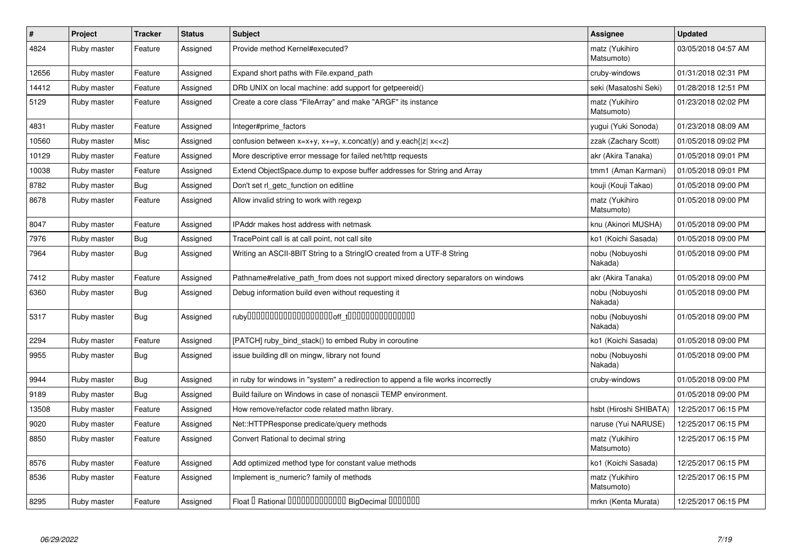| $\#$  | Project     | <b>Tracker</b> | <b>Status</b> | <b>Subject</b>                                                                                                                          | <b>Assignee</b>              | <b>Updated</b>      |
|-------|-------------|----------------|---------------|-----------------------------------------------------------------------------------------------------------------------------------------|------------------------------|---------------------|
| 4824  | Ruby master | Feature        | Assigned      | Provide method Kernel#executed?                                                                                                         | matz (Yukihiro<br>Matsumoto) | 03/05/2018 04:57 AM |
| 12656 | Ruby master | Feature        | Assigned      | Expand short paths with File.expand path                                                                                                | cruby-windows                | 01/31/2018 02:31 PM |
| 14412 | Ruby master | Feature        | Assigned      | DRb UNIX on local machine: add support for getpeereid()                                                                                 | seki (Masatoshi Seki)        | 01/28/2018 12:51 PM |
| 5129  | Ruby master | Feature        | Assigned      | Create a core class "FileArray" and make "ARGF" its instance                                                                            | matz (Yukihiro<br>Matsumoto) | 01/23/2018 02:02 PM |
| 4831  | Ruby master | Feature        | Assigned      | Integer#prime factors                                                                                                                   | yugui (Yuki Sonoda)          | 01/23/2018 08:09 AM |
| 10560 | Ruby master | Misc           | Assigned      | confusion between x=x+y, x+=y, x.concat(y) and y.each{ z  x< <z}< td=""><td>zzak (Zachary Scott)</td><td>01/05/2018 09:02 PM</td></z}<> | zzak (Zachary Scott)         | 01/05/2018 09:02 PM |
| 10129 | Ruby master | Feature        | Assigned      | More descriptive error message for failed net/http requests                                                                             | akr (Akira Tanaka)           | 01/05/2018 09:01 PM |
| 10038 | Ruby master | Feature        | Assigned      | Extend ObjectSpace.dump to expose buffer addresses for String and Array                                                                 | tmm1 (Aman Karmani)          | 01/05/2018 09:01 PM |
| 8782  | Ruby master | Bug            | Assigned      | Don't set rl getc function on editline                                                                                                  | kouji (Kouji Takao)          | 01/05/2018 09:00 PM |
| 8678  | Ruby master | Feature        | Assigned      | Allow invalid string to work with regexp                                                                                                | matz (Yukihiro<br>Matsumoto) | 01/05/2018 09:00 PM |
| 8047  | Ruby master | Feature        | Assigned      | IPAddr makes host address with netmask                                                                                                  | knu (Akinori MUSHA)          | 01/05/2018 09:00 PM |
| 7976  | Ruby master | <b>Bug</b>     | Assigned      | TracePoint call is at call point, not call site                                                                                         | ko1 (Koichi Sasada)          | 01/05/2018 09:00 PM |
| 7964  | Ruby master | Bug            | Assigned      | Writing an ASCII-8BIT String to a StringIO created from a UTF-8 String                                                                  | nobu (Nobuyoshi<br>Nakada)   | 01/05/2018 09:00 PM |
| 7412  | Ruby master | Feature        | Assigned      | Pathname#relative path_from does not support mixed directory separators on windows                                                      | akr (Akira Tanaka)           | 01/05/2018 09:00 PM |
| 6360  | Ruby master | Bug            | Assigned      | Debug information build even without requesting it                                                                                      | nobu (Nobuyoshi<br>Nakada)   | 01/05/2018 09:00 PM |
| 5317  | Ruby master | <b>Bug</b>     | Assigned      |                                                                                                                                         | nobu (Nobuyoshi<br>Nakada)   | 01/05/2018 09:00 PM |
| 2294  | Ruby master | Feature        | Assigned      | [PATCH] ruby_bind_stack() to embed Ruby in coroutine                                                                                    | ko1 (Koichi Sasada)          | 01/05/2018 09:00 PM |
| 9955  | Ruby master | <b>Bug</b>     | Assigned      | issue building dll on mingw, library not found                                                                                          | nobu (Nobuyoshi<br>Nakada)   | 01/05/2018 09:00 PM |
| 9944  | Ruby master | <b>Bug</b>     | Assigned      | in ruby for windows in "system" a redirection to append a file works incorrectly                                                        | cruby-windows                | 01/05/2018 09:00 PM |
| 9189  | Ruby master | <b>Bug</b>     | Assigned      | Build failure on Windows in case of nonascii TEMP environment.                                                                          |                              | 01/05/2018 09:00 PM |
| 13508 | Ruby master | Feature        | Assigned      | How remove/refactor code related mathn library.                                                                                         | hsbt (Hiroshi SHIBATA)       | 12/25/2017 06:15 PM |
| 9020  | Ruby master | Feature        | Assigned      | Net::HTTPResponse predicate/query methods                                                                                               | naruse (Yui NARUSE)          | 12/25/2017 06:15 PM |
| 8850  | Ruby master | Feature        | Assigned      | Convert Rational to decimal string                                                                                                      | matz (Yukihiro<br>Matsumoto) | 12/25/2017 06:15 PM |
| 8576  | Ruby master | Feature        | Assigned      | Add optimized method type for constant value methods                                                                                    | ko1 (Koichi Sasada)          | 12/25/2017 06:15 PM |
| 8536  | Ruby master | Feature        | Assigned      | Implement is numeric? family of methods                                                                                                 | matz (Yukihiro<br>Matsumoto) | 12/25/2017 06:15 PM |
| 8295  | Ruby master | Feature        | Assigned      | Float I Rational IIIIIIIIIIIIIIIIIII BigDecimal IIIIIIIIII                                                                              | mrkn (Kenta Murata)          | 12/25/2017 06:15 PM |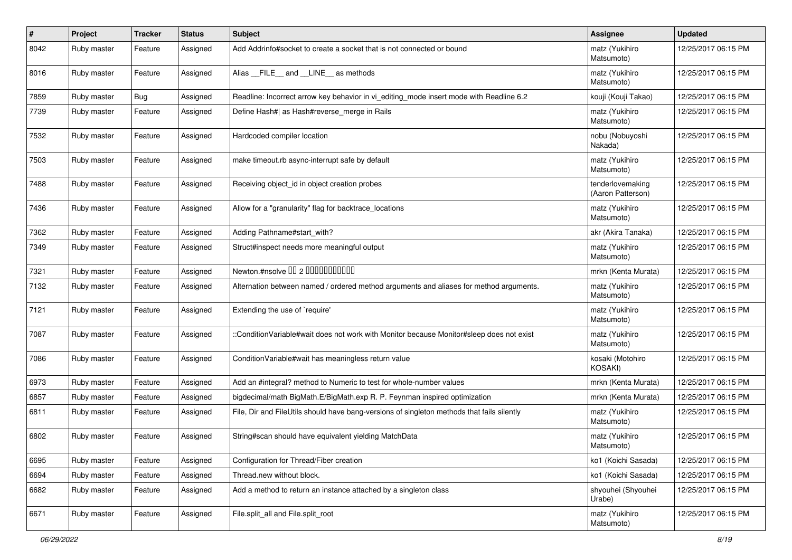| $\sharp$ | Project     | <b>Tracker</b> | <b>Status</b> | <b>Subject</b>                                                                             | <b>Assignee</b>                       | <b>Updated</b>      |
|----------|-------------|----------------|---------------|--------------------------------------------------------------------------------------------|---------------------------------------|---------------------|
| 8042     | Ruby master | Feature        | Assigned      | Add Addrinfo#socket to create a socket that is not connected or bound                      | matz (Yukihiro<br>Matsumoto)          | 12/25/2017 06:15 PM |
| 8016     | Ruby master | Feature        | Assigned      | Alias FILE and LINE as methods                                                             | matz (Yukihiro<br>Matsumoto)          | 12/25/2017 06:15 PM |
| 7859     | Ruby master | Bug            | Assigned      | Readline: Incorrect arrow key behavior in vi editing mode insert mode with Readline 6.2    | kouji (Kouji Takao)                   | 12/25/2017 06:15 PM |
| 7739     | Ruby master | Feature        | Assigned      | Define Hash#  as Hash#reverse merge in Rails                                               | matz (Yukihiro<br>Matsumoto)          | 12/25/2017 06:15 PM |
| 7532     | Ruby master | Feature        | Assigned      | Hardcoded compiler location                                                                | nobu (Nobuyoshi<br>Nakada)            | 12/25/2017 06:15 PM |
| 7503     | Ruby master | Feature        | Assigned      | make timeout.rb async-interrupt safe by default                                            | matz (Yukihiro<br>Matsumoto)          | 12/25/2017 06:15 PM |
| 7488     | Ruby master | Feature        | Assigned      | Receiving object_id in object creation probes                                              | tenderlovemaking<br>(Aaron Patterson) | 12/25/2017 06:15 PM |
| 7436     | Ruby master | Feature        | Assigned      | Allow for a "granularity" flag for backtrace_locations                                     | matz (Yukihiro<br>Matsumoto)          | 12/25/2017 06:15 PM |
| 7362     | Ruby master | Feature        | Assigned      | Adding Pathname#start with?                                                                | akr (Akira Tanaka)                    | 12/25/2017 06:15 PM |
| 7349     | Ruby master | Feature        | Assigned      | Struct#inspect needs more meaningful output                                                | matz (Yukihiro<br>Matsumoto)          | 12/25/2017 06:15 PM |
| 7321     | Ruby master | Feature        | Assigned      | Newton.#nsolve 00 2 0000000000                                                             | mrkn (Kenta Murata)                   | 12/25/2017 06:15 PM |
| 7132     | Ruby master | Feature        | Assigned      | Alternation between named / ordered method arguments and aliases for method arguments.     | matz (Yukihiro<br>Matsumoto)          | 12/25/2017 06:15 PM |
| 7121     | Ruby master | Feature        | Assigned      | Extending the use of `require'                                                             | matz (Yukihiro<br>Matsumoto)          | 12/25/2017 06:15 PM |
| 7087     | Ruby master | Feature        | Assigned      | ::ConditionVariable#wait does not work with Monitor because Monitor#sleep does not exist   | matz (Yukihiro<br>Matsumoto)          | 12/25/2017 06:15 PM |
| 7086     | Ruby master | Feature        | Assigned      | Condition Variable#wait has meaningless return value                                       | kosaki (Motohiro<br><b>KOSAKI)</b>    | 12/25/2017 06:15 PM |
| 6973     | Ruby master | Feature        | Assigned      | Add an #integral? method to Numeric to test for whole-number values                        | mrkn (Kenta Murata)                   | 12/25/2017 06:15 PM |
| 6857     | Ruby master | Feature        | Assigned      | bigdecimal/math BigMath.E/BigMath.exp R. P. Feynman inspired optimization                  | mrkn (Kenta Murata)                   | 12/25/2017 06:15 PM |
| 6811     | Ruby master | Feature        | Assigned      | File, Dir and FileUtils should have bang-versions of singleton methods that fails silently | matz (Yukihiro<br>Matsumoto)          | 12/25/2017 06:15 PM |
| 6802     | Ruby master | Feature        | Assigned      | String#scan should have equivalent yielding MatchData                                      | matz (Yukihiro<br>Matsumoto)          | 12/25/2017 06:15 PM |
| 6695     | Ruby master | Feature        | Assigned      | Configuration for Thread/Fiber creation                                                    | ko1 (Koichi Sasada)                   | 12/25/2017 06:15 PM |
| 6694     | Ruby master | Feature        | Assigned      | Thread.new without block.                                                                  | ko1 (Koichi Sasada)                   | 12/25/2017 06:15 PM |
| 6682     | Ruby master | Feature        | Assigned      | Add a method to return an instance attached by a singleton class                           | shyouhei (Shyouhei<br>Urabe)          | 12/25/2017 06:15 PM |
| 6671     | Ruby master | Feature        | Assigned      | File.split_all and File.split_root                                                         | matz (Yukihiro<br>Matsumoto)          | 12/25/2017 06:15 PM |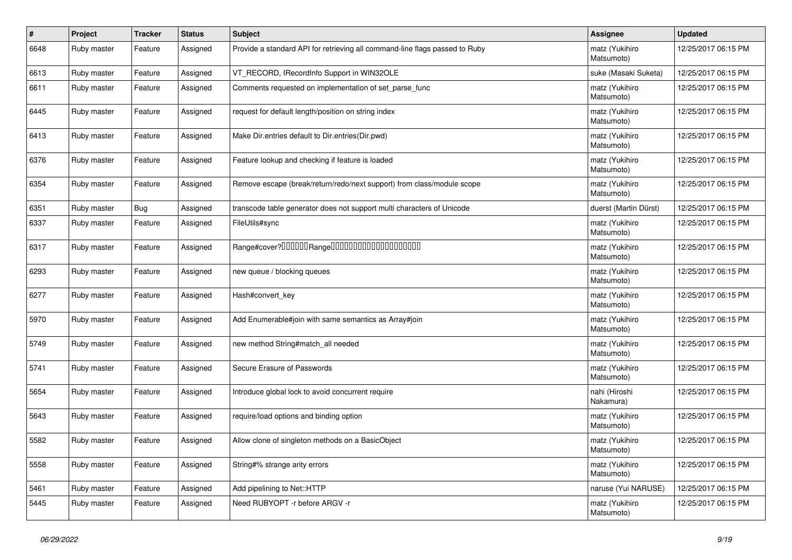| $\#$ | Project     | <b>Tracker</b> | <b>Status</b> | Subject                                                                     | <b>Assignee</b>              | <b>Updated</b>      |
|------|-------------|----------------|---------------|-----------------------------------------------------------------------------|------------------------------|---------------------|
| 6648 | Ruby master | Feature        | Assigned      | Provide a standard API for retrieving all command-line flags passed to Ruby | matz (Yukihiro<br>Matsumoto) | 12/25/2017 06:15 PM |
| 6613 | Ruby master | Feature        | Assigned      | VT_RECORD, IRecordInfo Support in WIN32OLE                                  | suke (Masaki Suketa)         | 12/25/2017 06:15 PM |
| 6611 | Ruby master | Feature        | Assigned      | Comments requested on implementation of set_parse_func                      | matz (Yukihiro<br>Matsumoto) | 12/25/2017 06:15 PM |
| 6445 | Ruby master | Feature        | Assigned      | request for default length/position on string index                         | matz (Yukihiro<br>Matsumoto) | 12/25/2017 06:15 PM |
| 6413 | Ruby master | Feature        | Assigned      | Make Dir.entries default to Dir.entries(Dir.pwd)                            | matz (Yukihiro<br>Matsumoto) | 12/25/2017 06:15 PM |
| 6376 | Ruby master | Feature        | Assigned      | Feature lookup and checking if feature is loaded                            | matz (Yukihiro<br>Matsumoto) | 12/25/2017 06:15 PM |
| 6354 | Ruby master | Feature        | Assigned      | Remove escape (break/return/redo/next support) from class/module scope      | matz (Yukihiro<br>Matsumoto) | 12/25/2017 06:15 PM |
| 6351 | Ruby master | Bug            | Assigned      | transcode table generator does not support multi characters of Unicode      | duerst (Martin Dürst)        | 12/25/2017 06:15 PM |
| 6337 | Ruby master | Feature        | Assigned      | FileUtils#sync                                                              | matz (Yukihiro<br>Matsumoto) | 12/25/2017 06:15 PM |
| 6317 | Ruby master | Feature        | Assigned      | Range#cover?000000Range00000000000000000000                                 | matz (Yukihiro<br>Matsumoto) | 12/25/2017 06:15 PM |
| 6293 | Ruby master | Feature        | Assigned      | new queue / blocking queues                                                 | matz (Yukihiro<br>Matsumoto) | 12/25/2017 06:15 PM |
| 6277 | Ruby master | Feature        | Assigned      | Hash#convert key                                                            | matz (Yukihiro<br>Matsumoto) | 12/25/2017 06:15 PM |
| 5970 | Ruby master | Feature        | Assigned      | Add Enumerable#join with same semantics as Array#join                       | matz (Yukihiro<br>Matsumoto) | 12/25/2017 06:15 PM |
| 5749 | Ruby master | Feature        | Assigned      | new method String#match_all needed                                          | matz (Yukihiro<br>Matsumoto) | 12/25/2017 06:15 PM |
| 5741 | Ruby master | Feature        | Assigned      | Secure Erasure of Passwords                                                 | matz (Yukihiro<br>Matsumoto) | 12/25/2017 06:15 PM |
| 5654 | Ruby master | Feature        | Assigned      | Introduce global lock to avoid concurrent require                           | nahi (Hiroshi<br>Nakamura)   | 12/25/2017 06:15 PM |
| 5643 | Ruby master | Feature        | Assigned      | require/load options and binding option                                     | matz (Yukihiro<br>Matsumoto) | 12/25/2017 06:15 PM |
| 5582 | Ruby master | Feature        | Assigned      | Allow clone of singleton methods on a BasicObject                           | matz (Yukihiro<br>Matsumoto) | 12/25/2017 06:15 PM |
| 5558 | Ruby master | Feature        | Assigned      | String#% strange arity errors                                               | matz (Yukihiro<br>Matsumoto) | 12/25/2017 06:15 PM |
| 5461 | Ruby master | Feature        | Assigned      | Add pipelining to Net::HTTP                                                 | naruse (Yui NARUSE)          | 12/25/2017 06:15 PM |
| 5445 | Ruby master | Feature        | Assigned      | Need RUBYOPT - r before ARGV - r                                            | matz (Yukihiro<br>Matsumoto) | 12/25/2017 06:15 PM |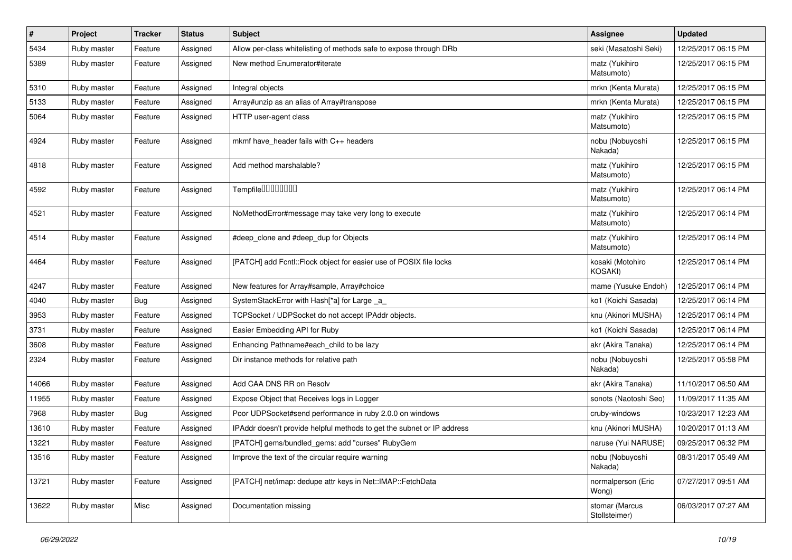| $\pmb{\#}$ | Project     | <b>Tracker</b> | <b>Status</b> | Subject                                                                | <b>Assignee</b>                 | <b>Updated</b>      |
|------------|-------------|----------------|---------------|------------------------------------------------------------------------|---------------------------------|---------------------|
| 5434       | Ruby master | Feature        | Assigned      | Allow per-class whitelisting of methods safe to expose through DRb     | seki (Masatoshi Seki)           | 12/25/2017 06:15 PM |
| 5389       | Ruby master | Feature        | Assigned      | New method Enumerator#iterate                                          | matz (Yukihiro<br>Matsumoto)    | 12/25/2017 06:15 PM |
| 5310       | Ruby master | Feature        | Assigned      | Integral objects                                                       | mrkn (Kenta Murata)             | 12/25/2017 06:15 PM |
| 5133       | Ruby master | Feature        | Assigned      | Array#unzip as an alias of Array#transpose                             | mrkn (Kenta Murata)             | 12/25/2017 06:15 PM |
| 5064       | Ruby master | Feature        | Assigned      | HTTP user-agent class                                                  | matz (Yukihiro<br>Matsumoto)    | 12/25/2017 06:15 PM |
| 4924       | Ruby master | Feature        | Assigned      | mkmf have_header fails with C++ headers                                | nobu (Nobuyoshi<br>Nakada)      | 12/25/2017 06:15 PM |
| 4818       | Ruby master | Feature        | Assigned      | Add method marshalable?                                                | matz (Yukihiro<br>Matsumoto)    | 12/25/2017 06:15 PM |
| 4592       | Ruby master | Feature        | Assigned      | Tempfile0000000                                                        | matz (Yukihiro<br>Matsumoto)    | 12/25/2017 06:14 PM |
| 4521       | Ruby master | Feature        | Assigned      | NoMethodError#message may take very long to execute                    | matz (Yukihiro<br>Matsumoto)    | 12/25/2017 06:14 PM |
| 4514       | Ruby master | Feature        | Assigned      | #deep clone and #deep dup for Objects                                  | matz (Yukihiro<br>Matsumoto)    | 12/25/2017 06:14 PM |
| 4464       | Ruby master | Feature        | Assigned      | [PATCH] add Fcntl:: Flock object for easier use of POSIX file locks    | kosaki (Motohiro<br>KOSAKI)     | 12/25/2017 06:14 PM |
| 4247       | Ruby master | Feature        | Assigned      | New features for Array#sample, Array#choice                            | mame (Yusuke Endoh)             | 12/25/2017 06:14 PM |
| 4040       | Ruby master | Bug            | Assigned      | SystemStackError with Hash[*a] for Large _a_                           | ko1 (Koichi Sasada)             | 12/25/2017 06:14 PM |
| 3953       | Ruby master | Feature        | Assigned      | TCPSocket / UDPSocket do not accept IPAddr objects.                    | knu (Akinori MUSHA)             | 12/25/2017 06:14 PM |
| 3731       | Ruby master | Feature        | Assigned      | Easier Embedding API for Ruby                                          | ko1 (Koichi Sasada)             | 12/25/2017 06:14 PM |
| 3608       | Ruby master | Feature        | Assigned      | Enhancing Pathname#each_child to be lazy                               | akr (Akira Tanaka)              | 12/25/2017 06:14 PM |
| 2324       | Ruby master | Feature        | Assigned      | Dir instance methods for relative path                                 | nobu (Nobuyoshi<br>Nakada)      | 12/25/2017 05:58 PM |
| 14066      | Ruby master | Feature        | Assigned      | Add CAA DNS RR on Resolv                                               | akr (Akira Tanaka)              | 11/10/2017 06:50 AM |
| 11955      | Ruby master | Feature        | Assigned      | Expose Object that Receives logs in Logger                             | sonots (Naotoshi Seo)           | 11/09/2017 11:35 AM |
| 7968       | Ruby master | <b>Bug</b>     | Assigned      | Poor UDPSocket#send performance in ruby 2.0.0 on windows               | cruby-windows                   | 10/23/2017 12:23 AM |
| 13610      | Ruby master | Feature        | Assigned      | IPAddr doesn't provide helpful methods to get the subnet or IP address | knu (Akinori MUSHA)             | 10/20/2017 01:13 AM |
| 13221      | Ruby master | Feature        | Assigned      | [PATCH] gems/bundled gems: add "curses" RubyGem                        | naruse (Yui NARUSE)             | 09/25/2017 06:32 PM |
| 13516      | Ruby master | Feature        | Assigned      | Improve the text of the circular require warning                       | nobu (Nobuyoshi<br>Nakada)      | 08/31/2017 05:49 AM |
| 13721      | Ruby master | Feature        | Assigned      | [PATCH] net/imap: dedupe attr keys in Net::IMAP::FetchData             | normalperson (Eric<br>Wong)     | 07/27/2017 09:51 AM |
| 13622      | Ruby master | Misc           | Assigned      | Documentation missing                                                  | stomar (Marcus<br>Stollsteimer) | 06/03/2017 07:27 AM |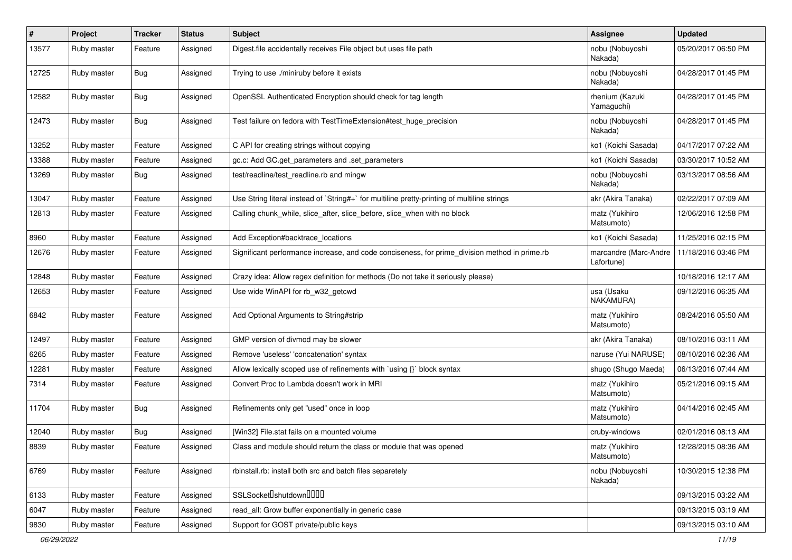| #     | Project     | <b>Tracker</b> | <b>Status</b> | <b>Subject</b>                                                                                | Assignee                            | <b>Updated</b>      |
|-------|-------------|----------------|---------------|-----------------------------------------------------------------------------------------------|-------------------------------------|---------------------|
| 13577 | Ruby master | Feature        | Assigned      | Digest file accidentally receives File object but uses file path                              | nobu (Nobuyoshi<br>Nakada)          | 05/20/2017 06:50 PM |
| 12725 | Ruby master | Bug            | Assigned      | Trying to use ./miniruby before it exists                                                     | nobu (Nobuyoshi<br>Nakada)          | 04/28/2017 01:45 PM |
| 12582 | Ruby master | Bug            | Assigned      | OpenSSL Authenticated Encryption should check for tag length                                  | rhenium (Kazuki<br>Yamaguchi)       | 04/28/2017 01:45 PM |
| 12473 | Ruby master | Bug            | Assigned      | Test failure on fedora with TestTimeExtension#test_huge_precision                             | nobu (Nobuyoshi<br>Nakada)          | 04/28/2017 01:45 PM |
| 13252 | Ruby master | Feature        | Assigned      | C API for creating strings without copying                                                    | ko1 (Koichi Sasada)                 | 04/17/2017 07:22 AM |
| 13388 | Ruby master | Feature        | Assigned      | gc.c: Add GC.get_parameters and .set_parameters                                               | ko1 (Koichi Sasada)                 | 03/30/2017 10:52 AM |
| 13269 | Ruby master | Bug            | Assigned      | test/readline/test_readline.rb and mingw                                                      | nobu (Nobuyoshi<br>Nakada)          | 03/13/2017 08:56 AM |
| 13047 | Ruby master | Feature        | Assigned      | Use String literal instead of `String#+` for multiline pretty-printing of multiline strings   | akr (Akira Tanaka)                  | 02/22/2017 07:09 AM |
| 12813 | Ruby master | Feature        | Assigned      | Calling chunk_while, slice_after, slice_before, slice_when with no block                      | matz (Yukihiro<br>Matsumoto)        | 12/06/2016 12:58 PM |
| 8960  | Ruby master | Feature        | Assigned      | Add Exception#backtrace_locations                                                             | ko1 (Koichi Sasada)                 | 11/25/2016 02:15 PM |
| 12676 | Ruby master | Feature        | Assigned      | Significant performance increase, and code conciseness, for prime_division method in prime.rb | marcandre (Marc-Andre<br>Lafortune) | 11/18/2016 03:46 PM |
| 12848 | Ruby master | Feature        | Assigned      | Crazy idea: Allow regex definition for methods (Do not take it seriously please)              |                                     | 10/18/2016 12:17 AM |
| 12653 | Ruby master | Feature        | Assigned      | Use wide WinAPI for rb_w32_getcwd                                                             | usa (Usaku<br>NAKAMURA)             | 09/12/2016 06:35 AM |
| 6842  | Ruby master | Feature        | Assigned      | Add Optional Arguments to String#strip                                                        | matz (Yukihiro<br>Matsumoto)        | 08/24/2016 05:50 AM |
| 12497 | Ruby master | Feature        | Assigned      | GMP version of divmod may be slower                                                           | akr (Akira Tanaka)                  | 08/10/2016 03:11 AM |
| 6265  | Ruby master | Feature        | Assigned      | Remove 'useless' 'concatenation' syntax                                                       | naruse (Yui NARUSE)                 | 08/10/2016 02:36 AM |
| 12281 | Ruby master | Feature        | Assigned      | Allow lexically scoped use of refinements with `using {}` block syntax                        | shugo (Shugo Maeda)                 | 06/13/2016 07:44 AM |
| 7314  | Ruby master | Feature        | Assigned      | Convert Proc to Lambda doesn't work in MRI                                                    | matz (Yukihiro<br>Matsumoto)        | 05/21/2016 09:15 AM |
| 11704 | Ruby master | Bug            | Assigned      | Refinements only get "used" once in loop                                                      | matz (Yukihiro<br>Matsumoto)        | 04/14/2016 02:45 AM |
| 12040 | Ruby master | Bug            | Assigned      | [Win32] File.stat fails on a mounted volume                                                   | cruby-windows                       | 02/01/2016 08:13 AM |
| 8839  | Ruby master | Feature        | Assigned      | Class and module should return the class or module that was opened                            | matz (Yukihiro<br>Matsumoto)        | 12/28/2015 08:36 AM |
| 6769  | Ruby master | Feature        | Assigned      | rbinstall.rb: install both src and batch files separetely                                     | nobu (Nobuyoshi<br>Nakada)          | 10/30/2015 12:38 PM |
| 6133  | Ruby master | Feature        | Assigned      | SSLSocket <sup>[</sup> shutdown <sup>[11]</sup>                                               |                                     | 09/13/2015 03:22 AM |
| 6047  | Ruby master | Feature        | Assigned      | read all: Grow buffer exponentially in generic case                                           |                                     | 09/13/2015 03:19 AM |
| 9830  | Ruby master | Feature        | Assigned      | Support for GOST private/public keys                                                          |                                     | 09/13/2015 03:10 AM |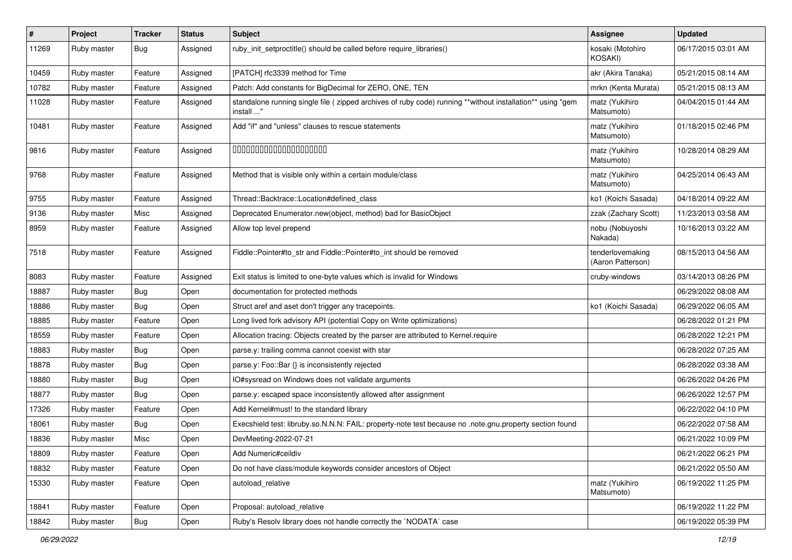| $\vert$ # | Project     | <b>Tracker</b> | <b>Status</b> | <b>Subject</b>                                                                                                          | Assignee                              | <b>Updated</b>      |
|-----------|-------------|----------------|---------------|-------------------------------------------------------------------------------------------------------------------------|---------------------------------------|---------------------|
| 11269     | Ruby master | Bug            | Assigned      | ruby_init_setproctitle() should be called before require_libraries()                                                    | kosaki (Motohiro<br><b>KOSAKI)</b>    | 06/17/2015 03:01 AM |
| 10459     | Ruby master | Feature        | Assigned      | [PATCH] rfc3339 method for Time                                                                                         | akr (Akira Tanaka)                    | 05/21/2015 08:14 AM |
| 10782     | Ruby master | Feature        | Assigned      | Patch: Add constants for BigDecimal for ZERO, ONE, TEN                                                                  | mrkn (Kenta Murata)                   | 05/21/2015 08:13 AM |
| 11028     | Ruby master | Feature        | Assigned      | standalone running single file ( zipped archives of ruby code) running **without installation** using "gem<br>install " | matz (Yukihiro<br>Matsumoto)          | 04/04/2015 01:44 AM |
| 10481     | Ruby master | Feature        | Assigned      | Add "if" and "unless" clauses to rescue statements                                                                      | matz (Yukihiro<br>Matsumoto)          | 01/18/2015 02:46 PM |
| 9816      | Ruby master | Feature        | Assigned      | 00000000000000000000                                                                                                    | matz (Yukihiro<br>Matsumoto)          | 10/28/2014 08:29 AM |
| 9768      | Ruby master | Feature        | Assigned      | Method that is visible only within a certain module/class                                                               | matz (Yukihiro<br>Matsumoto)          | 04/25/2014 06:43 AM |
| 9755      | Ruby master | Feature        | Assigned      | Thread::Backtrace::Location#defined_class                                                                               | ko1 (Koichi Sasada)                   | 04/18/2014 09:22 AM |
| 9136      | Ruby master | Misc           | Assigned      | Deprecated Enumerator.new(object, method) bad for BasicObject                                                           | zzak (Zachary Scott)                  | 11/23/2013 03:58 AM |
| 8959      | Ruby master | Feature        | Assigned      | Allow top level prepend                                                                                                 | nobu (Nobuyoshi<br>Nakada)            | 10/16/2013 03:22 AM |
| 7518      | Ruby master | Feature        | Assigned      | Fiddle::Pointer#to str and Fiddle::Pointer#to int should be removed                                                     | tenderlovemaking<br>(Aaron Patterson) | 08/15/2013 04:56 AM |
| 8083      | Ruby master | Feature        | Assigned      | Exit status is limited to one-byte values which is invalid for Windows                                                  | cruby-windows                         | 03/14/2013 08:26 PM |
| 18887     | Ruby master | Bug            | Open          | documentation for protected methods                                                                                     |                                       | 06/29/2022 08:08 AM |
| 18886     | Ruby master | Bug            | Open          | Struct aref and aset don't trigger any tracepoints.                                                                     | ko1 (Koichi Sasada)                   | 06/29/2022 06:05 AM |
| 18885     | Ruby master | Feature        | Open          | Long lived fork advisory API (potential Copy on Write optimizations)                                                    |                                       | 06/28/2022 01:21 PM |
| 18559     | Ruby master | Feature        | Open          | Allocation tracing: Objects created by the parser are attributed to Kernel.require                                      |                                       | 06/28/2022 12:21 PM |
| 18883     | Ruby master | Bug            | Open          | parse.y: trailing comma cannot coexist with star                                                                        |                                       | 06/28/2022 07:25 AM |
| 18878     | Ruby master | <b>Bug</b>     | Open          | parse.y: Foo::Bar {} is inconsistently rejected                                                                         |                                       | 06/28/2022 03:38 AM |
| 18880     | Ruby master | <b>Bug</b>     | Open          | IO#sysread on Windows does not validate arguments                                                                       |                                       | 06/26/2022 04:26 PM |
| 18877     | Ruby master | <b>Bug</b>     | Open          | parse.y: escaped space inconsistently allowed after assignment                                                          |                                       | 06/26/2022 12:57 PM |
| 17326     | Ruby master | Feature        | Open          | Add Kernel#must! to the standard library                                                                                |                                       | 06/22/2022 04:10 PM |
| 18061     | Ruby master | Bug            | Open          | Execshield test: libruby.so.N.N.N: FAIL: property-note test because no .note.gnu.property section found                 |                                       | 06/22/2022 07:58 AM |
| 18836     | Ruby master | Misc           | Open          | DevMeeting-2022-07-21                                                                                                   |                                       | 06/21/2022 10:09 PM |
| 18809     | Ruby master | Feature        | Open          | Add Numeric#ceildiv                                                                                                     |                                       | 06/21/2022 06:21 PM |
| 18832     | Ruby master | Feature        | Open          | Do not have class/module keywords consider ancestors of Object                                                          |                                       | 06/21/2022 05:50 AM |
| 15330     | Ruby master | Feature        | Open          | autoload_relative                                                                                                       | matz (Yukihiro<br>Matsumoto)          | 06/19/2022 11:25 PM |
| 18841     | Ruby master | Feature        | Open          | Proposal: autoload_relative                                                                                             |                                       | 06/19/2022 11:22 PM |
| 18842     | Ruby master | <b>Bug</b>     | Open          | Ruby's Resolv library does not handle correctly the `NODATA` case                                                       |                                       | 06/19/2022 05:39 PM |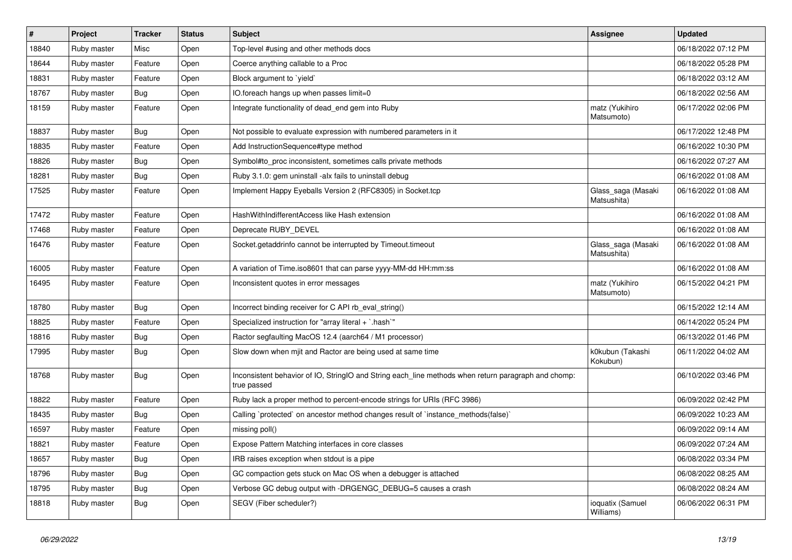| $\vert$ # | Project     | <b>Tracker</b> | <b>Status</b> | Subject                                                                                                            | <b>Assignee</b>                   | <b>Updated</b>      |
|-----------|-------------|----------------|---------------|--------------------------------------------------------------------------------------------------------------------|-----------------------------------|---------------------|
| 18840     | Ruby master | Misc           | Open          | Top-level #using and other methods docs                                                                            |                                   | 06/18/2022 07:12 PM |
| 18644     | Ruby master | Feature        | Open          | Coerce anything callable to a Proc                                                                                 |                                   | 06/18/2022 05:28 PM |
| 18831     | Ruby master | Feature        | Open          | Block argument to 'yield'                                                                                          |                                   | 06/18/2022 03:12 AM |
| 18767     | Ruby master | <b>Bug</b>     | Open          | IO.foreach hangs up when passes limit=0                                                                            |                                   | 06/18/2022 02:56 AM |
| 18159     | Ruby master | Feature        | Open          | Integrate functionality of dead_end gem into Ruby                                                                  | matz (Yukihiro<br>Matsumoto)      | 06/17/2022 02:06 PM |
| 18837     | Ruby master | Bug            | Open          | Not possible to evaluate expression with numbered parameters in it                                                 |                                   | 06/17/2022 12:48 PM |
| 18835     | Ruby master | Feature        | Open          | Add InstructionSequence#type method                                                                                |                                   | 06/16/2022 10:30 PM |
| 18826     | Ruby master | <b>Bug</b>     | Open          | Symbol#to_proc inconsistent, sometimes calls private methods                                                       |                                   | 06/16/2022 07:27 AM |
| 18281     | Ruby master | <b>Bug</b>     | Open          | Ruby 3.1.0: gem uninstall -alx fails to uninstall debug                                                            |                                   | 06/16/2022 01:08 AM |
| 17525     | Ruby master | Feature        | Open          | Implement Happy Eyeballs Version 2 (RFC8305) in Socket.tcp                                                         | Glass_saga (Masaki<br>Matsushita) | 06/16/2022 01:08 AM |
| 17472     | Ruby master | Feature        | Open          | HashWithIndifferentAccess like Hash extension                                                                      |                                   | 06/16/2022 01:08 AM |
| 17468     | Ruby master | Feature        | Open          | Deprecate RUBY_DEVEL                                                                                               |                                   | 06/16/2022 01:08 AM |
| 16476     | Ruby master | Feature        | Open          | Socket.getaddrinfo cannot be interrupted by Timeout.timeout                                                        | Glass_saga (Masaki<br>Matsushita) | 06/16/2022 01:08 AM |
| 16005     | Ruby master | Feature        | Open          | A variation of Time.iso8601 that can parse yyyy-MM-dd HH:mm:ss                                                     |                                   | 06/16/2022 01:08 AM |
| 16495     | Ruby master | Feature        | Open          | Inconsistent quotes in error messages                                                                              | matz (Yukihiro<br>Matsumoto)      | 06/15/2022 04:21 PM |
| 18780     | Ruby master | Bug            | Open          | Incorrect binding receiver for C API rb_eval_string()                                                              |                                   | 06/15/2022 12:14 AM |
| 18825     | Ruby master | Feature        | Open          | Specialized instruction for "array literal + `.hash`"                                                              |                                   | 06/14/2022 05:24 PM |
| 18816     | Ruby master | <b>Bug</b>     | Open          | Ractor segfaulting MacOS 12.4 (aarch64 / M1 processor)                                                             |                                   | 06/13/2022 01:46 PM |
| 17995     | Ruby master | Bug            | Open          | Slow down when mjit and Ractor are being used at same time                                                         | k0kubun (Takashi<br>Kokubun)      | 06/11/2022 04:02 AM |
| 18768     | Ruby master | <b>Bug</b>     | Open          | Inconsistent behavior of IO, StringIO and String each_line methods when return paragraph and chomp:<br>true passed |                                   | 06/10/2022 03:46 PM |
| 18822     | Ruby master | Feature        | Open          | Ruby lack a proper method to percent-encode strings for URIs (RFC 3986)                                            |                                   | 06/09/2022 02:42 PM |
| 18435     | Ruby master | <b>Bug</b>     | Open          | Calling `protected` on ancestor method changes result of `instance_methods(false)`                                 |                                   | 06/09/2022 10:23 AM |
| 16597     | Ruby master | Feature        | Open          | missing poll()                                                                                                     |                                   | 06/09/2022 09:14 AM |
| 18821     | Ruby master | Feature        | Open          | Expose Pattern Matching interfaces in core classes                                                                 |                                   | 06/09/2022 07:24 AM |
| 18657     | Ruby master | Bug            | Open          | IRB raises exception when stdout is a pipe                                                                         |                                   | 06/08/2022 03:34 PM |
| 18796     | Ruby master | <b>Bug</b>     | Open          | GC compaction gets stuck on Mac OS when a debugger is attached                                                     |                                   | 06/08/2022 08:25 AM |
| 18795     | Ruby master | <b>Bug</b>     | Open          | Verbose GC debug output with -DRGENGC_DEBUG=5 causes a crash                                                       |                                   | 06/08/2022 08:24 AM |
| 18818     | Ruby master | Bug            | Open          | SEGV (Fiber scheduler?)                                                                                            | ioquatix (Samuel<br>Williams)     | 06/06/2022 06:31 PM |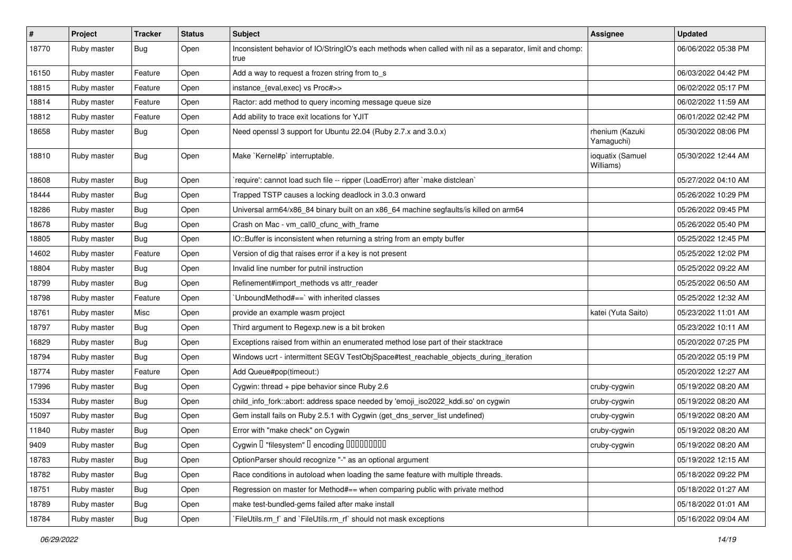| $\vert$ # | Project     | <b>Tracker</b> | <b>Status</b> | Subject                                                                                                           | Assignee                      | <b>Updated</b>      |
|-----------|-------------|----------------|---------------|-------------------------------------------------------------------------------------------------------------------|-------------------------------|---------------------|
| 18770     | Ruby master | Bug            | Open          | Inconsistent behavior of IO/StringIO's each methods when called with nil as a separator, limit and chomp:<br>true |                               | 06/06/2022 05:38 PM |
| 16150     | Ruby master | Feature        | Open          | Add a way to request a frozen string from to s                                                                    |                               | 06/03/2022 04:42 PM |
| 18815     | Ruby master | Feature        | Open          | instance_{eval,exec} vs Proc#>>                                                                                   |                               | 06/02/2022 05:17 PM |
| 18814     | Ruby master | Feature        | Open          | Ractor: add method to query incoming message queue size                                                           |                               | 06/02/2022 11:59 AM |
| 18812     | Ruby master | Feature        | Open          | Add ability to trace exit locations for YJIT                                                                      |                               | 06/01/2022 02:42 PM |
| 18658     | Ruby master | Bug            | Open          | Need openssl 3 support for Ubuntu 22.04 (Ruby 2.7.x and 3.0.x)                                                    | rhenium (Kazuki<br>Yamaguchi) | 05/30/2022 08:06 PM |
| 18810     | Ruby master | Bug            | Open          | Make `Kernel#p` interruptable.                                                                                    | ioquatix (Samuel<br>Williams) | 05/30/2022 12:44 AM |
| 18608     | Ruby master | Bug            | Open          | require': cannot load such file -- ripper (LoadError) after `make distclean`                                      |                               | 05/27/2022 04:10 AM |
| 18444     | Ruby master | Bug            | Open          | Trapped TSTP causes a locking deadlock in 3.0.3 onward                                                            |                               | 05/26/2022 10:29 PM |
| 18286     | Ruby master | Bug            | Open          | Universal arm64/x86_84 binary built on an x86_64 machine segfaults/is killed on arm64                             |                               | 05/26/2022 09:45 PM |
| 18678     | Ruby master | Bug            | Open          | Crash on Mac - vm_call0_cfunc_with_frame                                                                          |                               | 05/26/2022 05:40 PM |
| 18805     | Ruby master | <b>Bug</b>     | Open          | IO::Buffer is inconsistent when returning a string from an empty buffer                                           |                               | 05/25/2022 12:45 PM |
| 14602     | Ruby master | Feature        | Open          | Version of dig that raises error if a key is not present                                                          |                               | 05/25/2022 12:02 PM |
| 18804     | Ruby master | Bug            | Open          | Invalid line number for putnil instruction                                                                        |                               | 05/25/2022 09:22 AM |
| 18799     | Ruby master | Bug            | Open          | Refinement#import_methods vs attr_reader                                                                          |                               | 05/25/2022 06:50 AM |
| 18798     | Ruby master | Feature        | Open          | 'UnboundMethod#==' with inherited classes                                                                         |                               | 05/25/2022 12:32 AM |
| 18761     | Ruby master | Misc           | Open          | provide an example wasm project                                                                                   | katei (Yuta Saito)            | 05/23/2022 11:01 AM |
| 18797     | Ruby master | Bug            | Open          | Third argument to Regexp.new is a bit broken                                                                      |                               | 05/23/2022 10:11 AM |
| 16829     | Ruby master | Bug            | Open          | Exceptions raised from within an enumerated method lose part of their stacktrace                                  |                               | 05/20/2022 07:25 PM |
| 18794     | Ruby master | Bug            | Open          | Windows ucrt - intermittent SEGV TestObjSpace#test_reachable_objects_during_iteration                             |                               | 05/20/2022 05:19 PM |
| 18774     | Ruby master | Feature        | Open          | Add Queue#pop(timeout:)                                                                                           |                               | 05/20/2022 12:27 AM |
| 17996     | Ruby master | Bug            | Open          | Cygwin: thread + pipe behavior since Ruby 2.6                                                                     | cruby-cygwin                  | 05/19/2022 08:20 AM |
| 15334     | Ruby master | Bug            | Open          | child_info_fork::abort: address space needed by 'emoji_iso2022_kddi.so' on cygwin                                 | cruby-cygwin                  | 05/19/2022 08:20 AM |
| 15097     | Ruby master | Bug            | Open          | Gem install fails on Ruby 2.5.1 with Cygwin (get_dns_server_list undefined)                                       | cruby-cygwin                  | 05/19/2022 08:20 AM |
| 11840     | Ruby master | Bug            | Open          | Error with "make check" on Cygwin                                                                                 | cruby-cygwin                  | 05/19/2022 08:20 AM |
| 9409      | Ruby master | Bug            | Open          | Cygwin I "filesystem" I encoding IIIIIIIIIIII                                                                     | cruby-cygwin                  | 05/19/2022 08:20 AM |
| 18783     | Ruby master | Bug            | Open          | OptionParser should recognize "-" as an optional argument                                                         |                               | 05/19/2022 12:15 AM |
| 18782     | Ruby master | Bug            | Open          | Race conditions in autoload when loading the same feature with multiple threads.                                  |                               | 05/18/2022 09:22 PM |
| 18751     | Ruby master | <b>Bug</b>     | Open          | Regression on master for Method#== when comparing public with private method                                      |                               | 05/18/2022 01:27 AM |
| 18789     | Ruby master | Bug            | Open          | make test-bundled-gems failed after make install                                                                  |                               | 05/18/2022 01:01 AM |
| 18784     | Ruby master | <b>Bug</b>     | Open          | FileUtils.rm_f` and `FileUtils.rm_rf` should not mask exceptions                                                  |                               | 05/16/2022 09:04 AM |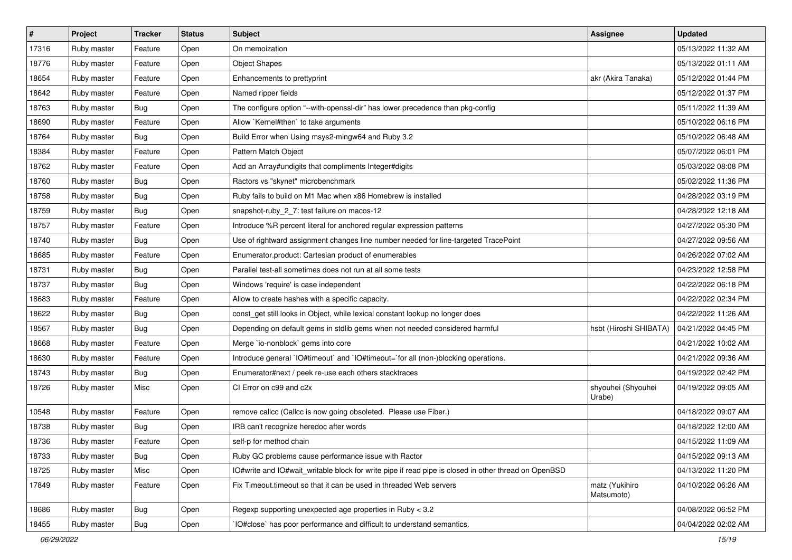| $\vert$ # | Project     | <b>Tracker</b> | <b>Status</b> | Subject                                                                                              | <b>Assignee</b>              | <b>Updated</b>      |
|-----------|-------------|----------------|---------------|------------------------------------------------------------------------------------------------------|------------------------------|---------------------|
| 17316     | Ruby master | Feature        | Open          | On memoization                                                                                       |                              | 05/13/2022 11:32 AM |
| 18776     | Ruby master | Feature        | Open          | <b>Object Shapes</b>                                                                                 |                              | 05/13/2022 01:11 AM |
| 18654     | Ruby master | Feature        | Open          | Enhancements to prettyprint                                                                          | akr (Akira Tanaka)           | 05/12/2022 01:44 PM |
| 18642     | Ruby master | Feature        | Open          | Named ripper fields                                                                                  |                              | 05/12/2022 01:37 PM |
| 18763     | Ruby master | Bug            | Open          | The configure option "--with-openssl-dir" has lower precedence than pkg-config                       |                              | 05/11/2022 11:39 AM |
| 18690     | Ruby master | Feature        | Open          | Allow `Kernel#then` to take arguments                                                                |                              | 05/10/2022 06:16 PM |
| 18764     | Ruby master | <b>Bug</b>     | Open          | Build Error when Using msys2-mingw64 and Ruby 3.2                                                    |                              | 05/10/2022 06:48 AM |
| 18384     | Ruby master | Feature        | Open          | Pattern Match Object                                                                                 |                              | 05/07/2022 06:01 PM |
| 18762     | Ruby master | Feature        | Open          | Add an Array#undigits that compliments Integer#digits                                                |                              | 05/03/2022 08:08 PM |
| 18760     | Ruby master | Bug            | Open          | Ractors vs "skynet" microbenchmark                                                                   |                              | 05/02/2022 11:36 PM |
| 18758     | Ruby master | Bug            | Open          | Ruby fails to build on M1 Mac when x86 Homebrew is installed                                         |                              | 04/28/2022 03:19 PM |
| 18759     | Ruby master | Bug            | Open          | snapshot-ruby_2_7: test failure on macos-12                                                          |                              | 04/28/2022 12:18 AM |
| 18757     | Ruby master | Feature        | Open          | Introduce %R percent literal for anchored regular expression patterns                                |                              | 04/27/2022 05:30 PM |
| 18740     | Ruby master | Bug            | Open          | Use of rightward assignment changes line number needed for line-targeted TracePoint                  |                              | 04/27/2022 09:56 AM |
| 18685     | Ruby master | Feature        | Open          | Enumerator.product: Cartesian product of enumerables                                                 |                              | 04/26/2022 07:02 AM |
| 18731     | Ruby master | Bug            | Open          | Parallel test-all sometimes does not run at all some tests                                           |                              | 04/23/2022 12:58 PM |
| 18737     | Ruby master | Bug            | Open          | Windows 'require' is case independent                                                                |                              | 04/22/2022 06:18 PM |
| 18683     | Ruby master | Feature        | Open          | Allow to create hashes with a specific capacity.                                                     |                              | 04/22/2022 02:34 PM |
| 18622     | Ruby master | Bug            | Open          | const_get still looks in Object, while lexical constant lookup no longer does                        |                              | 04/22/2022 11:26 AM |
| 18567     | Ruby master | Bug            | Open          | Depending on default gems in stdlib gems when not needed considered harmful                          | hsbt (Hiroshi SHIBATA)       | 04/21/2022 04:45 PM |
| 18668     | Ruby master | Feature        | Open          | Merge `io-nonblock` gems into core                                                                   |                              | 04/21/2022 10:02 AM |
| 18630     | Ruby master | Feature        | Open          | Introduce general `IO#timeout` and `IO#timeout=`for all (non-)blocking operations.                   |                              | 04/21/2022 09:36 AM |
| 18743     | Ruby master | Bug            | Open          | Enumerator#next / peek re-use each others stacktraces                                                |                              | 04/19/2022 02:42 PM |
| 18726     | Ruby master | Misc           | Open          | CI Error on c99 and c2x                                                                              | shyouhei (Shyouhei<br>Urabe) | 04/19/2022 09:05 AM |
| 10548     | Ruby master | Feature        | Open          | remove callcc (Callcc is now going obsoleted. Please use Fiber.)                                     |                              | 04/18/2022 09:07 AM |
| 18738     | Ruby master | Bug            | Open          | IRB can't recognize heredoc after words                                                              |                              | 04/18/2022 12:00 AM |
| 18736     | Ruby master | Feature        | Open          | self-p for method chain                                                                              |                              | 04/15/2022 11:09 AM |
| 18733     | Ruby master | <b>Bug</b>     | Open          | Ruby GC problems cause performance issue with Ractor                                                 |                              | 04/15/2022 09:13 AM |
| 18725     | Ruby master | Misc           | Open          | IO#write and IO#wait_writable block for write pipe if read pipe is closed in other thread on OpenBSD |                              | 04/13/2022 11:20 PM |
| 17849     | Ruby master | Feature        | Open          | Fix Timeout timeout so that it can be used in threaded Web servers                                   | matz (Yukihiro<br>Matsumoto) | 04/10/2022 06:26 AM |
| 18686     | Ruby master | <b>Bug</b>     | Open          | Regexp supporting unexpected age properties in Ruby < 3.2                                            |                              | 04/08/2022 06:52 PM |
| 18455     | Ruby master | <b>Bug</b>     | Open          | IO#close` has poor performance and difficult to understand semantics.                                |                              | 04/04/2022 02:02 AM |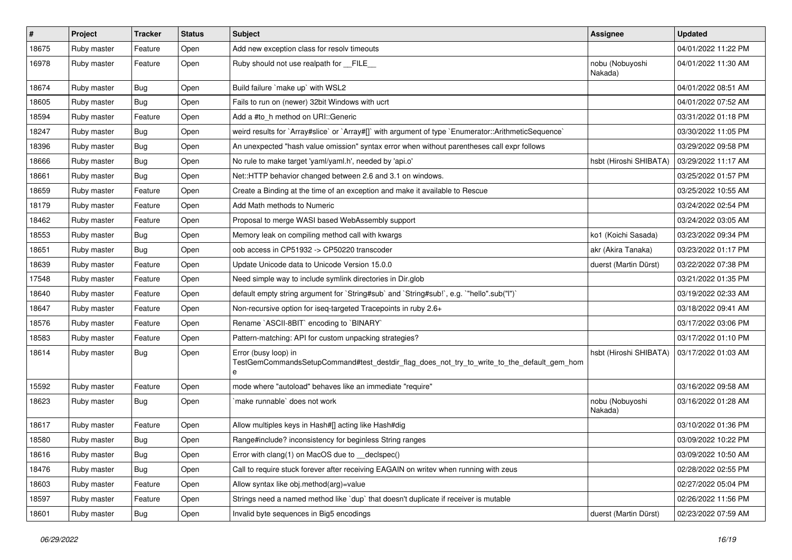| $\vert$ # | Project     | <b>Tracker</b> | <b>Status</b> | Subject                                                                                                                 | Assignee                   | <b>Updated</b>      |
|-----------|-------------|----------------|---------------|-------------------------------------------------------------------------------------------------------------------------|----------------------------|---------------------|
| 18675     | Ruby master | Feature        | Open          | Add new exception class for resolv timeouts                                                                             |                            | 04/01/2022 11:22 PM |
| 16978     | Ruby master | Feature        | Open          | Ruby should not use realpath for __FILE_                                                                                | nobu (Nobuyoshi<br>Nakada) | 04/01/2022 11:30 AM |
| 18674     | Ruby master | Bug            | Open          | Build failure `make up` with WSL2                                                                                       |                            | 04/01/2022 08:51 AM |
| 18605     | Ruby master | Bug            | Open          | Fails to run on (newer) 32bit Windows with ucrt                                                                         |                            | 04/01/2022 07:52 AM |
| 18594     | Ruby master | Feature        | Open          | Add a #to_h method on URI::Generic                                                                                      |                            | 03/31/2022 01:18 PM |
| 18247     | Ruby master | Bug            | Open          | weird results for `Array#slice` or `Array#[]` with argument of type `Enumerator::ArithmeticSequence`                    |                            | 03/30/2022 11:05 PM |
| 18396     | Ruby master | Bug            | Open          | An unexpected "hash value omission" syntax error when without parentheses call expr follows                             |                            | 03/29/2022 09:58 PM |
| 18666     | Ruby master | <b>Bug</b>     | Open          | No rule to make target 'yaml/yaml.h', needed by 'api.o'                                                                 | hsbt (Hiroshi SHIBATA)     | 03/29/2022 11:17 AM |
| 18661     | Ruby master | Bug            | Open          | Net::HTTP behavior changed between 2.6 and 3.1 on windows.                                                              |                            | 03/25/2022 01:57 PM |
| 18659     | Ruby master | Feature        | Open          | Create a Binding at the time of an exception and make it available to Rescue                                            |                            | 03/25/2022 10:55 AM |
| 18179     | Ruby master | Feature        | Open          | Add Math methods to Numeric                                                                                             |                            | 03/24/2022 02:54 PM |
| 18462     | Ruby master | Feature        | Open          | Proposal to merge WASI based WebAssembly support                                                                        |                            | 03/24/2022 03:05 AM |
| 18553     | Ruby master | Bug            | Open          | Memory leak on compiling method call with kwargs                                                                        | ko1 (Koichi Sasada)        | 03/23/2022 09:34 PM |
| 18651     | Ruby master | Bug            | Open          | oob access in CP51932 -> CP50220 transcoder                                                                             | akr (Akira Tanaka)         | 03/23/2022 01:17 PM |
| 18639     | Ruby master | Feature        | Open          | Update Unicode data to Unicode Version 15.0.0                                                                           | duerst (Martin Dürst)      | 03/22/2022 07:38 PM |
| 17548     | Ruby master | Feature        | Open          | Need simple way to include symlink directories in Dir.glob                                                              |                            | 03/21/2022 01:35 PM |
| 18640     | Ruby master | Feature        | Open          | default empty string argument for `String#sub` and `String#sub!`, e.g. `"hello".sub("I")`                               |                            | 03/19/2022 02:33 AM |
| 18647     | Ruby master | Feature        | Open          | Non-recursive option for iseq-targeted Tracepoints in ruby 2.6+                                                         |                            | 03/18/2022 09:41 AM |
| 18576     | Ruby master | Feature        | Open          | Rename `ASCII-8BIT` encoding to `BINARY`                                                                                |                            | 03/17/2022 03:06 PM |
| 18583     | Ruby master | Feature        | Open          | Pattern-matching: API for custom unpacking strategies?                                                                  |                            | 03/17/2022 01:10 PM |
| 18614     | Ruby master | Bug            | Open          | Error (busy loop) in<br>TestGemCommandsSetupCommand#test_destdir_flag_does_not_try_to_write_to_the_default_gem_hom<br>e | hsbt (Hiroshi SHIBATA)     | 03/17/2022 01:03 AM |
| 15592     | Ruby master | Feature        | Open          | mode where "autoload" behaves like an immediate "require"                                                               |                            | 03/16/2022 09:58 AM |
| 18623     | Ruby master | Bug            | Open          | make runnable does not work                                                                                             | nobu (Nobuyoshi<br>Nakada) | 03/16/2022 01:28 AM |
| 18617     | Ruby master | Feature        | Open          | Allow multiples keys in Hash#[] acting like Hash#dig                                                                    |                            | 03/10/2022 01:36 PM |
| 18580     | Ruby master | <b>Bug</b>     | Open          | Range#include? inconsistency for beginless String ranges                                                                |                            | 03/09/2022 10:22 PM |
| 18616     | Ruby master | <b>Bug</b>     | Open          | Error with clang(1) on MacOS due to _declspec()                                                                         |                            | 03/09/2022 10:50 AM |
| 18476     | Ruby master | <b>Bug</b>     | Open          | Call to require stuck forever after receiving EAGAIN on writev when running with zeus                                   |                            | 02/28/2022 02:55 PM |
| 18603     | Ruby master | Feature        | Open          | Allow syntax like obj.method(arg)=value                                                                                 |                            | 02/27/2022 05:04 PM |
| 18597     | Ruby master | Feature        | Open          | Strings need a named method like 'dup' that doesn't duplicate if receiver is mutable                                    |                            | 02/26/2022 11:56 PM |
| 18601     | Ruby master | <b>Bug</b>     | Open          | Invalid byte sequences in Big5 encodings                                                                                | duerst (Martin Dürst)      | 02/23/2022 07:59 AM |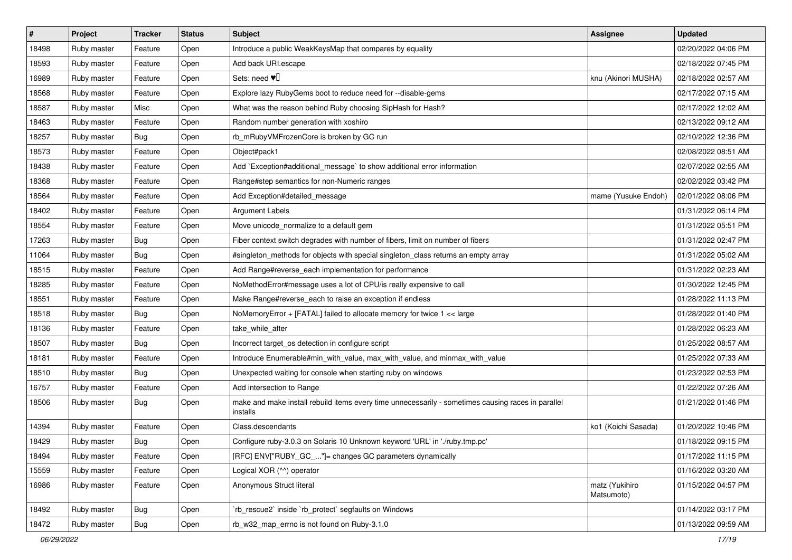| $\vert$ # | Project     | <b>Tracker</b> | <b>Status</b> | Subject                                                                                                        | <b>Assignee</b>              | <b>Updated</b>      |
|-----------|-------------|----------------|---------------|----------------------------------------------------------------------------------------------------------------|------------------------------|---------------------|
| 18498     | Ruby master | Feature        | Open          | Introduce a public WeakKeysMap that compares by equality                                                       |                              | 02/20/2022 04:06 PM |
| 18593     | Ruby master | Feature        | Open          | Add back URI.escape                                                                                            |                              | 02/18/2022 07:45 PM |
| 16989     | Ruby master | Feature        | Open          | Sets: need $\Psi$ <sup>[]</sup>                                                                                | knu (Akinori MUSHA)          | 02/18/2022 02:57 AM |
| 18568     | Ruby master | Feature        | Open          | Explore lazy RubyGems boot to reduce need for --disable-gems                                                   |                              | 02/17/2022 07:15 AM |
| 18587     | Ruby master | Misc           | Open          | What was the reason behind Ruby choosing SipHash for Hash?                                                     |                              | 02/17/2022 12:02 AM |
| 18463     | Ruby master | Feature        | Open          | Random number generation with xoshiro                                                                          |                              | 02/13/2022 09:12 AM |
| 18257     | Ruby master | <b>Bug</b>     | Open          | rb_mRubyVMFrozenCore is broken by GC run                                                                       |                              | 02/10/2022 12:36 PM |
| 18573     | Ruby master | Feature        | Open          | Object#pack1                                                                                                   |                              | 02/08/2022 08:51 AM |
| 18438     | Ruby master | Feature        | Open          | Add `Exception#additional_message` to show additional error information                                        |                              | 02/07/2022 02:55 AM |
| 18368     | Ruby master | Feature        | Open          | Range#step semantics for non-Numeric ranges                                                                    |                              | 02/02/2022 03:42 PM |
| 18564     | Ruby master | Feature        | Open          | Add Exception#detailed_message                                                                                 | mame (Yusuke Endoh)          | 02/01/2022 08:06 PM |
| 18402     | Ruby master | Feature        | Open          | <b>Argument Labels</b>                                                                                         |                              | 01/31/2022 06:14 PM |
| 18554     | Ruby master | Feature        | Open          | Move unicode_normalize to a default gem                                                                        |                              | 01/31/2022 05:51 PM |
| 17263     | Ruby master | Bug            | Open          | Fiber context switch degrades with number of fibers, limit on number of fibers                                 |                              | 01/31/2022 02:47 PM |
| 11064     | Ruby master | Bug            | Open          | #singleton_methods for objects with special singleton_class returns an empty array                             |                              | 01/31/2022 05:02 AM |
| 18515     | Ruby master | Feature        | Open          | Add Range#reverse_each implementation for performance                                                          |                              | 01/31/2022 02:23 AM |
| 18285     | Ruby master | Feature        | Open          | NoMethodError#message uses a lot of CPU/is really expensive to call                                            |                              | 01/30/2022 12:45 PM |
| 18551     | Ruby master | Feature        | Open          | Make Range#reverse_each to raise an exception if endless                                                       |                              | 01/28/2022 11:13 PM |
| 18518     | Ruby master | Bug            | Open          | NoMemoryError + [FATAL] failed to allocate memory for twice 1 << large                                         |                              | 01/28/2022 01:40 PM |
| 18136     | Ruby master | Feature        | Open          | take_while_after                                                                                               |                              | 01/28/2022 06:23 AM |
| 18507     | Ruby master | Bug            | Open          | Incorrect target os detection in configure script                                                              |                              | 01/25/2022 08:57 AM |
| 18181     | Ruby master | Feature        | Open          | Introduce Enumerable#min_with_value, max_with_value, and minmax_with_value                                     |                              | 01/25/2022 07:33 AM |
| 18510     | Ruby master | Bug            | Open          | Unexpected waiting for console when starting ruby on windows                                                   |                              | 01/23/2022 02:53 PM |
| 16757     | Ruby master | Feature        | Open          | Add intersection to Range                                                                                      |                              | 01/22/2022 07:26 AM |
| 18506     | Ruby master | Bug            | Open          | make and make install rebuild items every time unnecessarily - sometimes causing races in parallel<br>installs |                              | 01/21/2022 01:46 PM |
| 14394     | Ruby master | Feature        | Open          | Class.descendants                                                                                              | ko1 (Koichi Sasada)          | 01/20/2022 10:46 PM |
| 18429     | Ruby master | Bug            | Open          | Configure ruby-3.0.3 on Solaris 10 Unknown keyword 'URL' in './ruby.tmp.pc'                                    |                              | 01/18/2022 09:15 PM |
| 18494     | Ruby master | Feature        | Open          | [RFC] ENV["RUBY_GC_"]= changes GC parameters dynamically                                                       |                              | 01/17/2022 11:15 PM |
| 15559     | Ruby master | Feature        | Open          | Logical XOR (^^) operator                                                                                      |                              | 01/16/2022 03:20 AM |
| 16986     | Ruby master | Feature        | Open          | Anonymous Struct literal                                                                                       | matz (Yukihiro<br>Matsumoto) | 01/15/2022 04:57 PM |
| 18492     | Ruby master | <b>Bug</b>     | Open          | `rb_rescue2` inside `rb_protect` segfaults on Windows                                                          |                              | 01/14/2022 03:17 PM |
| 18472     | Ruby master | <b>Bug</b>     | Open          | rb_w32_map_errno is not found on Ruby-3.1.0                                                                    |                              | 01/13/2022 09:59 AM |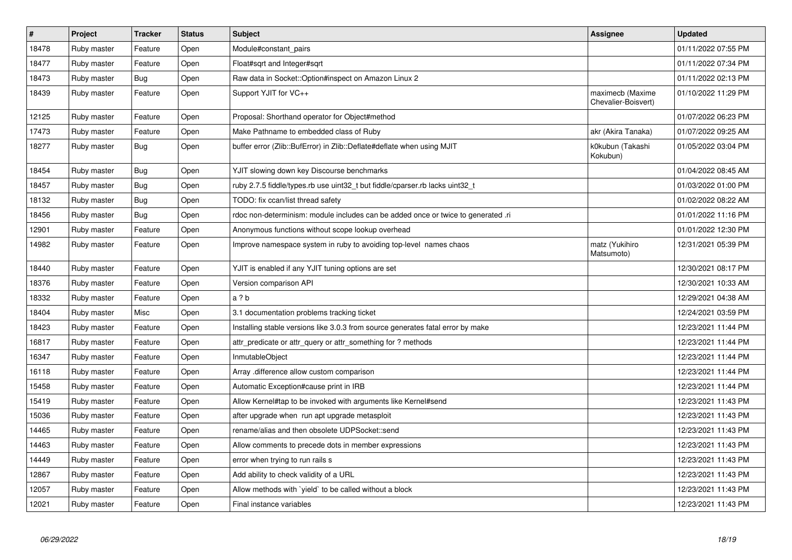| $\pmb{\#}$ | Project     | <b>Tracker</b> | <b>Status</b> | <b>Subject</b>                                                                    | Assignee                                | <b>Updated</b>      |
|------------|-------------|----------------|---------------|-----------------------------------------------------------------------------------|-----------------------------------------|---------------------|
| 18478      | Ruby master | Feature        | Open          | Module#constant_pairs                                                             |                                         | 01/11/2022 07:55 PM |
| 18477      | Ruby master | Feature        | Open          | Float#sqrt and Integer#sqrt                                                       |                                         | 01/11/2022 07:34 PM |
| 18473      | Ruby master | <b>Bug</b>     | Open          | Raw data in Socket::Option#inspect on Amazon Linux 2                              |                                         | 01/11/2022 02:13 PM |
| 18439      | Ruby master | Feature        | Open          | Support YJIT for VC++                                                             | maximecb (Maxime<br>Chevalier-Boisvert) | 01/10/2022 11:29 PM |
| 12125      | Ruby master | Feature        | Open          | Proposal: Shorthand operator for Object#method                                    |                                         | 01/07/2022 06:23 PM |
| 17473      | Ruby master | Feature        | Open          | Make Pathname to embedded class of Ruby                                           | akr (Akira Tanaka)                      | 01/07/2022 09:25 AM |
| 18277      | Ruby master | <b>Bug</b>     | Open          | buffer error (Zlib::BufError) in Zlib::Deflate#deflate when using MJIT            | k0kubun (Takashi<br>Kokubun)            | 01/05/2022 03:04 PM |
| 18454      | Ruby master | <b>Bug</b>     | Open          | YJIT slowing down key Discourse benchmarks                                        |                                         | 01/04/2022 08:45 AM |
| 18457      | Ruby master | Bug            | Open          | ruby 2.7.5 fiddle/types.rb use uint32 t but fiddle/cparser.rb lacks uint32 t      |                                         | 01/03/2022 01:00 PM |
| 18132      | Ruby master | <b>Bug</b>     | Open          | TODO: fix ccan/list thread safety                                                 |                                         | 01/02/2022 08:22 AM |
| 18456      | Ruby master | Bug            | Open          | rdoc non-determinism: module includes can be added once or twice to generated .ri |                                         | 01/01/2022 11:16 PM |
| 12901      | Ruby master | Feature        | Open          | Anonymous functions without scope lookup overhead                                 |                                         | 01/01/2022 12:30 PM |
| 14982      | Ruby master | Feature        | Open          | Improve namespace system in ruby to avoiding top-level names chaos                | matz (Yukihiro<br>Matsumoto)            | 12/31/2021 05:39 PM |
| 18440      | Ruby master | Feature        | Open          | YJIT is enabled if any YJIT tuning options are set                                |                                         | 12/30/2021 08:17 PM |
| 18376      | Ruby master | Feature        | Open          | Version comparison API                                                            |                                         | 12/30/2021 10:33 AM |
| 18332      | Ruby master | Feature        | Open          | a ? b                                                                             |                                         | 12/29/2021 04:38 AM |
| 18404      | Ruby master | Misc           | Open          | 3.1 documentation problems tracking ticket                                        |                                         | 12/24/2021 03:59 PM |
| 18423      | Ruby master | Feature        | Open          | Installing stable versions like 3.0.3 from source generates fatal error by make   |                                         | 12/23/2021 11:44 PM |
| 16817      | Ruby master | Feature        | Open          | attr predicate or attr query or attr something for? methods                       |                                         | 12/23/2021 11:44 PM |
| 16347      | Ruby master | Feature        | Open          | InmutableObject                                                                   |                                         | 12/23/2021 11:44 PM |
| 16118      | Ruby master | Feature        | Open          | Array .difference allow custom comparison                                         |                                         | 12/23/2021 11:44 PM |
| 15458      | Ruby master | Feature        | Open          | Automatic Exception#cause print in IRB                                            |                                         | 12/23/2021 11:44 PM |
| 15419      | Ruby master | Feature        | Open          | Allow Kernel#tap to be invoked with arguments like Kernel#send                    |                                         | 12/23/2021 11:43 PM |
| 15036      | Ruby master | Feature        | Open          | after upgrade when run apt upgrade metasploit                                     |                                         | 12/23/2021 11:43 PM |
| 14465      | Ruby master | Feature        | Open          | rename/alias and then obsolete UDPSocket::send                                    |                                         | 12/23/2021 11:43 PM |
| 14463      | Ruby master | Feature        | Open          | Allow comments to precede dots in member expressions                              |                                         | 12/23/2021 11:43 PM |
| 14449      | Ruby master | Feature        | Open          | error when trying to run rails s                                                  |                                         | 12/23/2021 11:43 PM |
| 12867      | Ruby master | Feature        | Open          | Add ability to check validity of a URL                                            |                                         | 12/23/2021 11:43 PM |
| 12057      | Ruby master | Feature        | Open          | Allow methods with `yield` to be called without a block                           |                                         | 12/23/2021 11:43 PM |
| 12021      | Ruby master | Feature        | Open          | Final instance variables                                                          |                                         | 12/23/2021 11:43 PM |